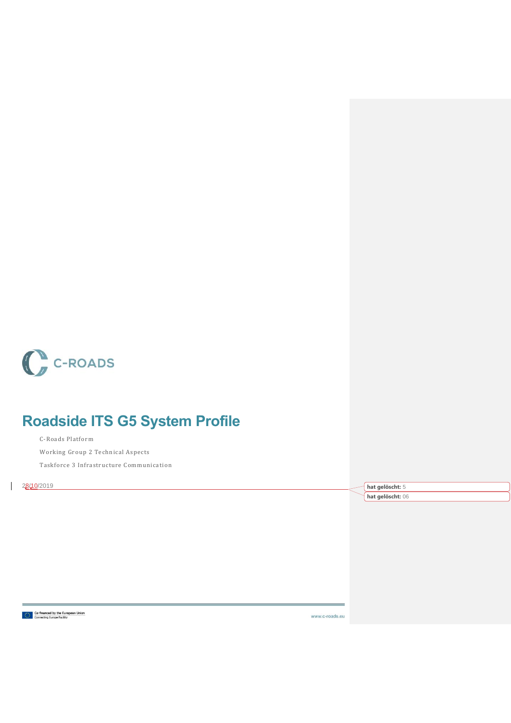

# **Roadside ITS G5 System Profile**

C-Roads Platform Working Group 2 Technical Aspects Taskforce 3 Infrastructure Communication

28/10/2019 **hat gelöscht:** 5

 $\mathsf{l}$ 

**hat gelöscht:** 06

Co-financed by the European Union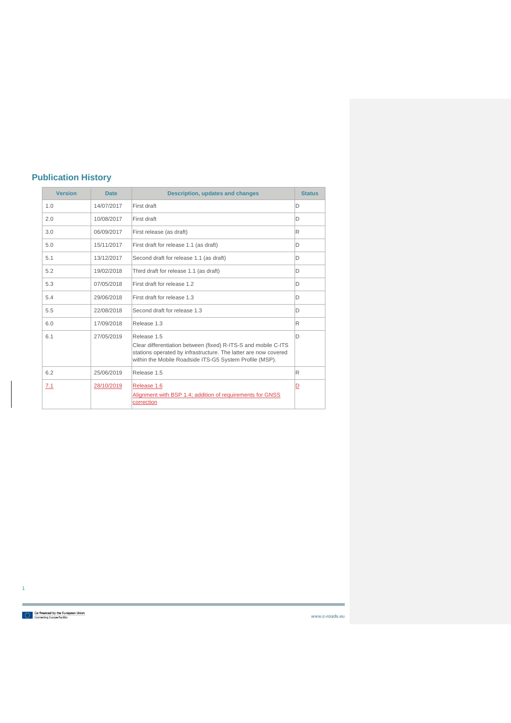## **Publication History**

| <b>Version</b> | <b>Date</b> | Description, updates and changes                                                                                                                                                                            |   |
|----------------|-------------|-------------------------------------------------------------------------------------------------------------------------------------------------------------------------------------------------------------|---|
| 1.0            | 14/07/2017  | First draft                                                                                                                                                                                                 | D |
| 2.0            | 10/08/2017  | First draft                                                                                                                                                                                                 | D |
| 3.0            | 06/09/2017  | First release (as draft)                                                                                                                                                                                    | R |
| 5.0            | 15/11/2017  | First draft for release 1.1 (as draft)                                                                                                                                                                      | D |
| 5.1            | 13/12/2017  | Second draft for release 1.1 (as draft)                                                                                                                                                                     | D |
| 5.2            | 19/02/2018  | Third draft for release 1.1 (as draft)                                                                                                                                                                      | D |
| 5.3            | 07/05/2018  | First draft for release 1.2                                                                                                                                                                                 | D |
| 5.4            | 29/06/2018  | First draft for release 1.3                                                                                                                                                                                 | D |
| 5.5            | 22/08/2018  | Second draft for release 1.3                                                                                                                                                                                | D |
| 6.0            | 17/09/2018  | Release 1.3                                                                                                                                                                                                 | R |
| 6.1            | 27/05/2019  | Release 1.5<br>Clear differentiation between (fixed) R-ITS-S and mobile C-ITS<br>stations operated by infrastructure. The latter are now covered<br>within the Mobile Roadside ITS-G5 System Profile (MSP). | D |
| 6.2            | 25/06/2019  | Release 1.5                                                                                                                                                                                                 | R |
| 7.1            | 28/10/2019  | Release 1.6<br>Alignment with BSP 1.4; addition of requirements for GNSS<br>correction                                                                                                                      | ⊵ |

Co-financed by the European Union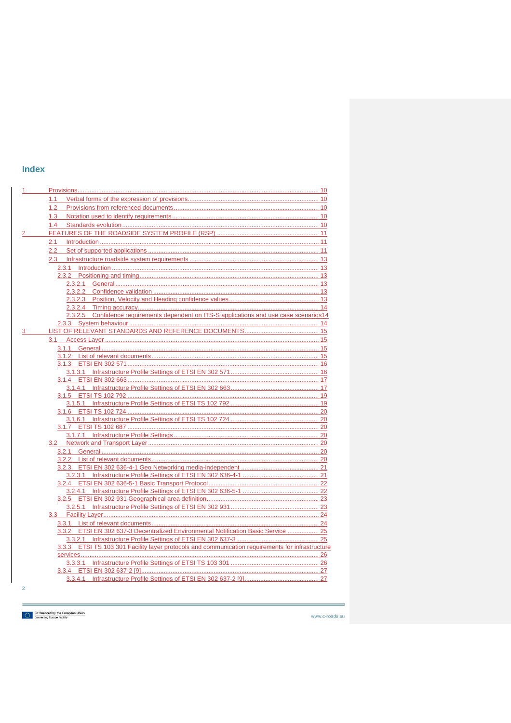## **Index**

|                | 1.1                                                                                              |  |
|----------------|--------------------------------------------------------------------------------------------------|--|
|                | 1.2                                                                                              |  |
|                | 1.3                                                                                              |  |
|                | 1.4                                                                                              |  |
|                |                                                                                                  |  |
|                |                                                                                                  |  |
|                | 2.2                                                                                              |  |
|                |                                                                                                  |  |
|                |                                                                                                  |  |
|                |                                                                                                  |  |
|                |                                                                                                  |  |
|                |                                                                                                  |  |
|                |                                                                                                  |  |
|                |                                                                                                  |  |
|                | 2.3.2.5 Confidence requirements dependent on ITS-S applications and use case scenarios14         |  |
|                |                                                                                                  |  |
|                |                                                                                                  |  |
|                |                                                                                                  |  |
|                |                                                                                                  |  |
|                |                                                                                                  |  |
|                |                                                                                                  |  |
|                |                                                                                                  |  |
|                |                                                                                                  |  |
|                |                                                                                                  |  |
|                |                                                                                                  |  |
|                |                                                                                                  |  |
|                |                                                                                                  |  |
|                |                                                                                                  |  |
|                |                                                                                                  |  |
|                |                                                                                                  |  |
|                |                                                                                                  |  |
|                |                                                                                                  |  |
|                |                                                                                                  |  |
|                |                                                                                                  |  |
|                |                                                                                                  |  |
|                |                                                                                                  |  |
|                |                                                                                                  |  |
|                |                                                                                                  |  |
|                |                                                                                                  |  |
|                |                                                                                                  |  |
|                |                                                                                                  |  |
|                | 3.3.2 ETSI EN 302 637-3 Decentralized Environmental Notification Basic Service  25               |  |
|                |                                                                                                  |  |
|                | 3.3.3 ETSI TS 103 301 Facility layer protocols and communication requirements for infrastructure |  |
|                |                                                                                                  |  |
|                |                                                                                                  |  |
|                |                                                                                                  |  |
|                |                                                                                                  |  |
| $\overline{2}$ |                                                                                                  |  |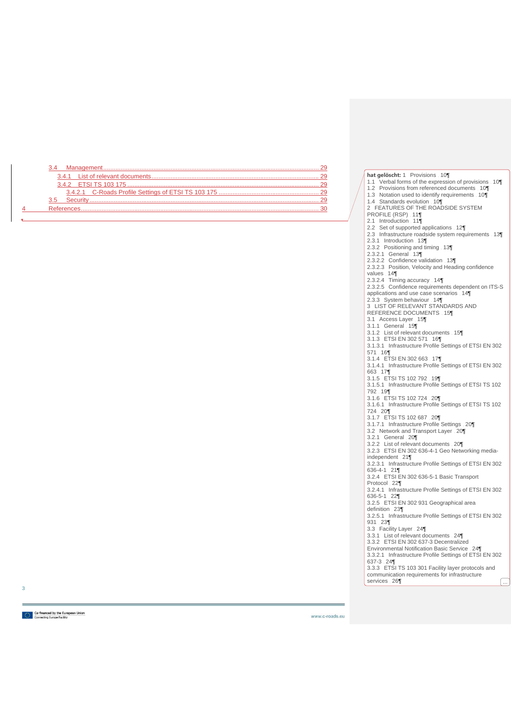|   | 3.4 |  |
|---|-----|--|
|   |     |  |
|   |     |  |
|   |     |  |
|   |     |  |
| 4 |     |  |

**hat gelöscht:** 1 Provisions 10¶ 1.1 Verbal forms of the expression of provisions 10¶ 1.2 Provisions from referenced documents 10¶ 1.3 Notation used to identify requirements 10¶ 1.4 Standards evolution 10¶ 2 FEATURES OF THE ROADSIDE SYSTEM PROFILE (RSP) 11¶ 2.1 Introduction 11¶ 2.2 Set of supported applications 12¶ 2.3 Infrastructure roadside system requirements 13¶ 2.3.1 Introduction 13¶ 2.3.2 Positioning and timing 13¶ 2.3.2.1 General 13¶ 2.3.2.2 Confidence validation 13¶ 2.3.2.3 Position, Velocity and Heading confidence values . 14¶<br>2.3.2.4 Timing accuracy . 14¶ 2.3.2.5 Confidence requirements dependent on ITS-S applications and use case scenarios 14¶ 2.3.3 System behaviour 14¶ 3 LIST OF RELEVANT STANDARDS AND REFERENCE DOCUMENTS 15¶ 3.1 Access Layer 15¶ 3.1.1 General 15¶ 3.1.2 List of relevant documents 15¶ 3.1.3 ETSI EN 302 571 16¶ 3.1.3.1 Infrastructure Profile Settings of ETSI EN 302 571 16¶ 3.1.4 ETSI EN 302 663 17¶ 3.1.4.1 Infrastructure Profile Settings of ETSI EN 302 663 17¶ 3.1.5 ETSI TS 102 792 19¶ 3.1.5.1 Infrastructure Profile Settings of ETSI TS 102 792 19¶ 3.1.6 ETSI TS 102 724 20¶ 3.1.6.1 Infrastructure Profile Settings of ETSI TS 102 724 20¶ 3.1.7 ETSI TS 102 687 20¶ 3.1.7.1 Infrastructure Profile Settings 20¶ 3.2 Network and Transport Layer 20 3.2.1 General 20¶ 3.2.2 List of relevant documents 20¶ 3.2.3 ETSI EN 302 636-4-1 Geo Networking mediaindependent 21¶ 3.2.3.1 Infrastructure Profile Settings of ETSI EN 302 636-4-1 21¶ 3.2.4 ETSI EN 302 636-5-1 Basic Transport Protocol 22¶ 3.2.4.1 Infrastructure Profile Settings of ETSI EN 302 636-5-1 22¶ 3.2.5 ETSI EN 302 931 Geographical area definition 23¶ 3.2.5.1 Infrastructure Profile Settings of ETSI EN 302 931 23¶ 3.3 Facility Layer 24¶ 3.3.1 List of relevant documents 24¶ 3.3.2 ETSI EN 302 637-3 Decentralized Environmental Notification Basic Service 24¶ 3.3.2.1 Infrastructure Profile Settings of ETSI EN 302 637-3 24¶ 3.3.3 ETSI TS 103 301 Facility layer protocols and communication requirements for infrastructure services 26¶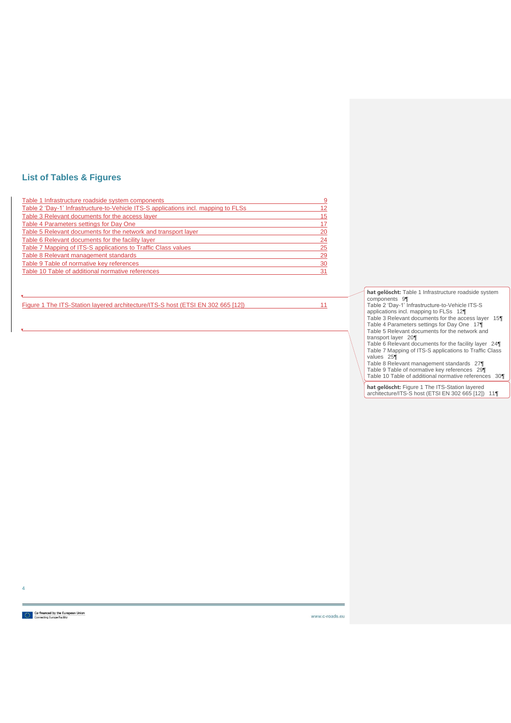## **List of Tables & Figures**

| Table 1 Infrastructure roadside system components                                  | -9 |
|------------------------------------------------------------------------------------|----|
| Table 2 'Day-1' Infrastructure-to-Vehicle ITS-S applications incl. mapping to FLSs | 12 |
| Table 3 Relevant documents for the access layer                                    | 15 |
| Table 4 Parameters settings for Day One                                            | 17 |
| Table 5 Relevant documents for the network and transport layer                     | 20 |
| Table 6 Relevant documents for the facility layer                                  | 24 |
| Table 7 Mapping of ITS-S applications to Traffic Class values                      | 25 |
| Table 8 Relevant management standards                                              | 29 |
| Table 9 Table of normative key references                                          | 30 |
| Table 10 Table of additional normative references                                  | 31 |

[Figure 1 The ITS-Station layered architecture/ITS-S host \(ETSI EN 302 665 \[12\]\)](#page-11-3) 11

**hat gelöscht:** Table 1 Infrastructure roadside system<br>Components 9¶<br>Table 2 'Day-1' Infrastructure-to-Vehicle ITS-S<br>applications incl. mapping to FLSs . 12¶<br>Table 3 Relevant documents for the access layer . 15¶ Table 4 Parameters settings for Day One 17¶ Table 5 Relevant documents for the network and transport layer 20¶ Table 6 Relevant documents for the facility layer 24¶ Table 7 Mapping of ITS-S applications to Traffic Class values 25¶ Table 8 Relevant management standards 27¶ Table 9 Table of normative key references 29¶ Table 10 Table of additional normative references 30¶

**hat gelöscht:** Figure 1 The ITS-Station layered architecture/ITS-S host (ETSI EN 302 665 [12]) 11¶

Co-financed by the European Union<br>**Based Connecting Europe Facility**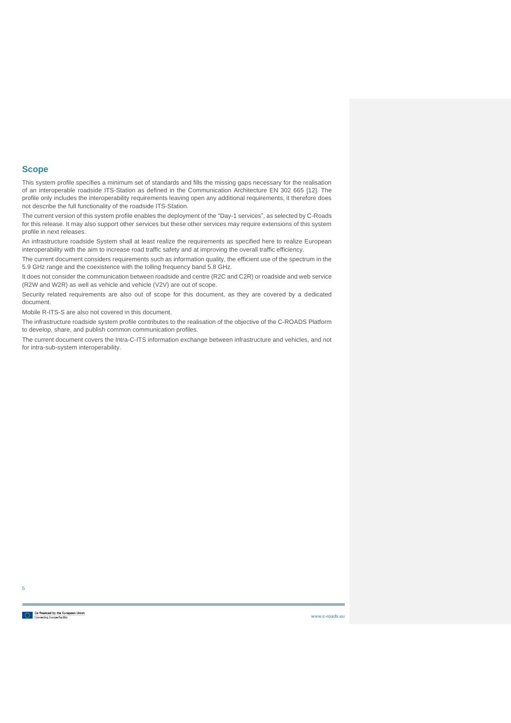### **Scope**

This system profile specifies a minimum set of standards and fills the missing gaps necessary for the realisation of an interoperable roadside ITS-Station as defined in the Communication Architecture EN 302 665 [\[12\].](#page-31-1) The profile only includes the interoperability requirements leaving open any additional requirements, it therefore does not describe the full functionality of the roadside ITS-Station.

The current version of this system profile enables the deployment of the "Day-1 services", as selected by C-Roads for this release. It may also support other services but these other services may require extensions of this system profile in next releases.

An infrastructure roadside System shall at least realize the requirements as specified here to realize European interoperability with the aim to increase road traffic safety and at improving the overall traffic efficiency.

The current document considers requirements such as information quality, the efficient use of the spectrum in the 5.9 GHz range and the coexistence with the tolling frequency band 5.8 GHz.

It does not consider the communication between roadside and centre (R2C and C2R) or roadside and web service (R2W and W2R) as well as vehicle and vehicle (V2V) are out of scope.

Security related requirements are also out of scope for this document, as they are covered by a dedicated document.

Mobile R-ITS-S are also not covered in this document.

The infrastructure roadside system profile contributes to the realisation of the objective of the C-ROADS Platform to develop, share, and publish common communication profiles.

The current document covers the Intra-C-ITS information exchange between infrastructure and vehicles, and not for intra-sub-system interoperability.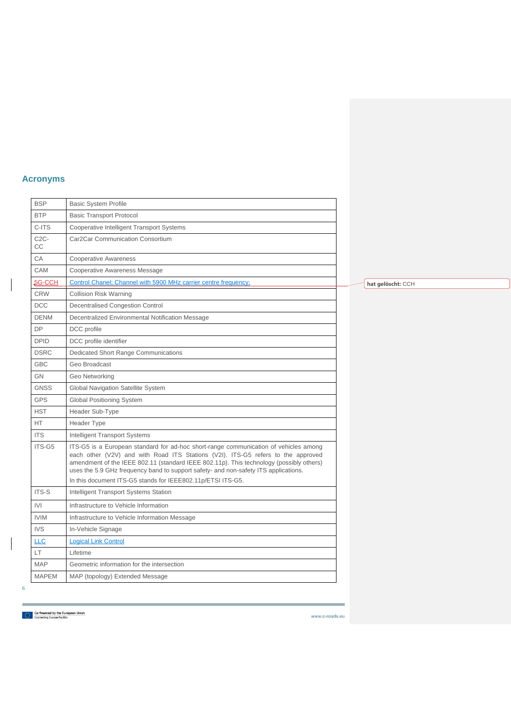## **Acronyms**

 $\overline{\phantom{a}}$ 

| <b>BSP</b>   | <b>Basic System Profile</b>                                                                                                                                                                                                                                                                                                                                                                                               |  |        |
|--------------|---------------------------------------------------------------------------------------------------------------------------------------------------------------------------------------------------------------------------------------------------------------------------------------------------------------------------------------------------------------------------------------------------------------------------|--|--------|
| <b>BTP</b>   | <b>Basic Transport Protocol</b>                                                                                                                                                                                                                                                                                                                                                                                           |  |        |
| C-ITS        | <b>Cooperative Intelligent Transport Systems</b>                                                                                                                                                                                                                                                                                                                                                                          |  |        |
| $C2C-$<br>СC | Car2Car Communication Consortium                                                                                                                                                                                                                                                                                                                                                                                          |  |        |
| CA           | <b>Cooperative Awareness</b>                                                                                                                                                                                                                                                                                                                                                                                              |  |        |
| <b>CAM</b>   | Cooperative Awareness Message                                                                                                                                                                                                                                                                                                                                                                                             |  |        |
| 5G-CCH       | Control Chanel; Channel with 5900 MHz carrier centre frequency;                                                                                                                                                                                                                                                                                                                                                           |  | hat qo |
| <b>CRW</b>   | <b>Collision Risk Warning</b>                                                                                                                                                                                                                                                                                                                                                                                             |  |        |
| <b>DCC</b>   | Decentralised Congestion Control                                                                                                                                                                                                                                                                                                                                                                                          |  |        |
| <b>DENM</b>  | Decentralized Environmental Notification Message                                                                                                                                                                                                                                                                                                                                                                          |  |        |
| <b>DP</b>    | DCC profile                                                                                                                                                                                                                                                                                                                                                                                                               |  |        |
| <b>DPID</b>  | DCC profile identifier                                                                                                                                                                                                                                                                                                                                                                                                    |  |        |
| <b>DSRC</b>  | Dedicated Short Range Communications                                                                                                                                                                                                                                                                                                                                                                                      |  |        |
| <b>GBC</b>   | Geo Broadcast                                                                                                                                                                                                                                                                                                                                                                                                             |  |        |
| <b>GN</b>    | Geo Networking                                                                                                                                                                                                                                                                                                                                                                                                            |  |        |
| <b>GNSS</b>  | Global Navigation Satellite System                                                                                                                                                                                                                                                                                                                                                                                        |  |        |
| <b>GPS</b>   | <b>Global Positioning System</b>                                                                                                                                                                                                                                                                                                                                                                                          |  |        |
| <b>HST</b>   | Header Sub-Type                                                                                                                                                                                                                                                                                                                                                                                                           |  |        |
| HT           | Header Type                                                                                                                                                                                                                                                                                                                                                                                                               |  |        |
| <b>ITS</b>   | Intelligent Transport Systems                                                                                                                                                                                                                                                                                                                                                                                             |  |        |
| ITS-G5       | ITS-G5 is a European standard for ad-hoc short-range communication of vehicles among<br>each other (V2V) and with Road ITS Stations (V2I). ITS-G5 refers to the approved<br>amendment of the IEEE 802.11 (standard IEEE 802.11p). This technology (possibly others)<br>uses the 5.9 GHz frequency band to support safety- and non-safety ITS applications.<br>In this document ITS-G5 stands for IEEE802.11p/ETSI ITS-G5. |  |        |
| ITS-S        | Intelligent Transport Systems Station                                                                                                                                                                                                                                                                                                                                                                                     |  |        |
| IVI          | Infrastructure to Vehicle Information                                                                                                                                                                                                                                                                                                                                                                                     |  |        |
| <b>IVIM</b>  | Infrastructure to Vehicle Information Message                                                                                                                                                                                                                                                                                                                                                                             |  |        |
| <b>IVS</b>   | In-Vehicle Signage                                                                                                                                                                                                                                                                                                                                                                                                        |  |        |
| <b>LLC</b>   | <b>Logical Link Control</b>                                                                                                                                                                                                                                                                                                                                                                                               |  |        |
| LT.          | Lifetime                                                                                                                                                                                                                                                                                                                                                                                                                  |  |        |
| <b>MAP</b>   | Geometric information for the intersection                                                                                                                                                                                                                                                                                                                                                                                |  |        |
| <b>MAPEM</b> | MAP (topology) Extended Message                                                                                                                                                                                                                                                                                                                                                                                           |  |        |

**elöscht: CCH** 

Co-financed by the European Union<br>  $\frac{1}{2}$  Connecting Europe Facility

6

 $\begin{array}{c} \hline \end{array}$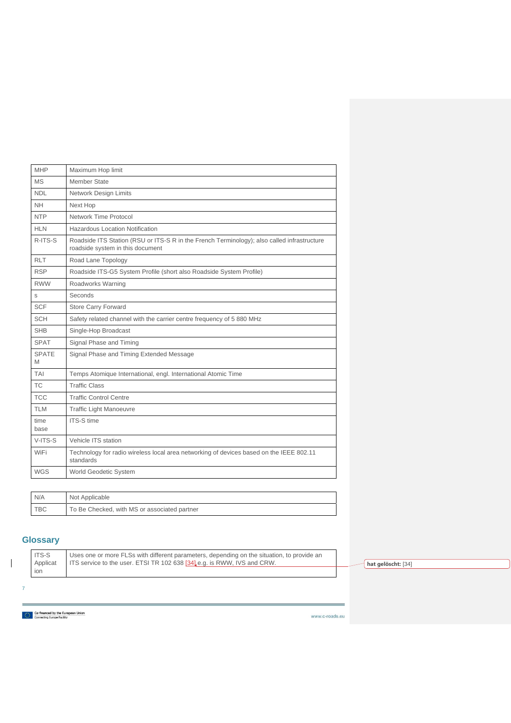| <b>MHP</b>        | Maximum Hop limit                                                                                                               |
|-------------------|---------------------------------------------------------------------------------------------------------------------------------|
| MS                | Member State                                                                                                                    |
| <b>NDL</b>        | <b>Network Design Limits</b>                                                                                                    |
| <b>NH</b>         | Next Hop                                                                                                                        |
| <b>NTP</b>        | Network Time Protocol                                                                                                           |
| <b>HLN</b>        | Hazardous Location Notification                                                                                                 |
| R-ITS-S           | Roadside ITS Station (RSU or ITS-S R in the French Terminology); also called infrastructure<br>roadside system in this document |
| <b>RLT</b>        | Road Lane Topology                                                                                                              |
| <b>RSP</b>        | Roadside ITS-G5 System Profile (short also Roadside System Profile)                                                             |
| <b>RWW</b>        | Roadworks Warning                                                                                                               |
| S                 | Seconds                                                                                                                         |
| <b>SCF</b>        | <b>Store Carry Forward</b>                                                                                                      |
| <b>SCH</b>        | Safety related channel with the carrier centre frequency of 5 880 MHz                                                           |
| <b>SHB</b>        | Single-Hop Broadcast                                                                                                            |
| <b>SPAT</b>       | Signal Phase and Timing                                                                                                         |
| <b>SPATE</b><br>M | Signal Phase and Timing Extended Message                                                                                        |
| TAI               | Temps Atomique International, engl. International Atomic Time                                                                   |
| TC.               | <b>Traffic Class</b>                                                                                                            |
| <b>TCC</b>        | <b>Traffic Control Centre</b>                                                                                                   |
| <b>TLM</b>        | Traffic Light Manoeuvre                                                                                                         |
| time<br>base      | <b>ITS-S time</b>                                                                                                               |
| V-ITS-S           | Vehicle ITS station                                                                                                             |
| WiFi              | Technology for radio wireless local area networking of devices based on the IEEE 802.11<br>standards                            |
| <b>WGS</b>        | World Geodetic System                                                                                                           |

| N/A        | Not Applicable                               |
|------------|----------------------------------------------|
| <b>TBC</b> | To Be Checked, with MS or associated partner |

## **Glossary**

 $\overline{\mathbb{I}}$ 

| ITS-S<br>Applicat<br>ion | Uses one or more FLSs with different parameters, depending on the situation, to provide an<br>ITS service to the user. ETSI TR 102 638 [34] e.g. is RWW, IVS and CRW. |  | hat gelöscht: [34] |  |
|--------------------------|-----------------------------------------------------------------------------------------------------------------------------------------------------------------------|--|--------------------|--|
|                          |                                                                                                                                                                       |  |                    |  |

Co-financed by the European Union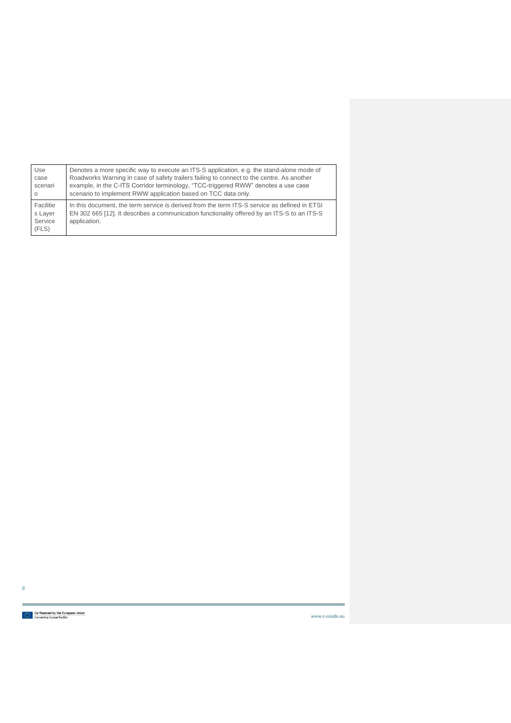| Use                                      | Denotes a more specific way to execute an ITS-S application, e.g. the stand-alone mode of                                                                                                                   |  |  |  |  |  |
|------------------------------------------|-------------------------------------------------------------------------------------------------------------------------------------------------------------------------------------------------------------|--|--|--|--|--|
| case                                     | Roadworks Warning in case of safety trailers failing to connect to the centre. As another                                                                                                                   |  |  |  |  |  |
| scenari                                  | example, in the C-ITS Corridor terminology, "TCC-triggered RWW" denotes a use case                                                                                                                          |  |  |  |  |  |
| $\Omega$                                 | scenario to implement RWW application based on TCC data only.                                                                                                                                               |  |  |  |  |  |
| Facilitie<br>s Layer<br>Service<br>(FLS) | In this document, the term service is derived from the term ITS-S service as defined in ETSI<br>EN 302 665 [12]. It describes a communication functionality offered by an ITS-S to an ITS-S<br>application. |  |  |  |  |  |

Co-financed by the European Union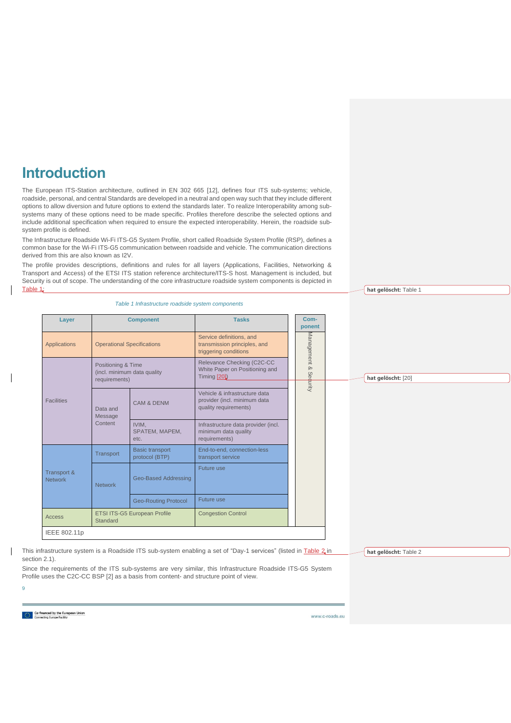# **Introduction**

The European ITS-Station architecture, outlined in EN 302 665 [\[12\],](#page-31-1) defines four ITS sub-systems; vehicle, roadside, personal, and central Standards are developed in a neutral and open way such that they include different options to allow diversion and future options to extend the standards later. To realize Interoperability among subsystems many of these options need to be made specific. Profiles therefore describe the selected options and include additional specification when required to ensure the expected interoperability. Herein, the roadside subsystem profile is defined.

The Infrastructure Roadside Wi-Fi ITS-G5 System Profile, short called Roadside System Profile (RSP), defines a common base for the Wi-Fi ITS-G5 communication between roadside and vehicle. The communication directions derived from this are also known as I2V.

The profile provides descriptions, definitions and rules for all layers (Applications, Facilities, Networking & Transport and Access) of the ETSI ITS station reference architecture/ITS-S host. Management is included, but Security is out of scope. The understanding of the core infrastructure roadside system components is depicted in Table 1,

### *Table 1 Infrastructure roadside system components*

<span id="page-9-0"></span>

| Layer                         |                                                                    | <b>Component</b>                         | <b>Tasks</b>                                                                           | Com-<br>ponent  |  |  |                    |            |  |  |  |  |  |  |  |  |  |  |  |  |  |
|-------------------------------|--------------------------------------------------------------------|------------------------------------------|----------------------------------------------------------------------------------------|-----------------|--|--|--------------------|------------|--|--|--|--|--|--|--|--|--|--|--|--|--|
| <b>Applications</b>           | <b>Operational Specifications</b>                                  |                                          | Service definitions, and<br>transmission principles, and<br>triggering conditions      |                 |  |  |                    | Management |  |  |  |  |  |  |  |  |  |  |  |  |  |
|                               | Positioning & Time<br>(incl. minimum data quality<br>requirements) |                                          | Relevance Checking (C2C-CC<br>White Paper on Positioning and<br>Timing [20]            | ଚ୍ଚ<br>Security |  |  | hat gelöscht: [20] |            |  |  |  |  |  |  |  |  |  |  |  |  |  |
| <b>Facilities</b>             | Data and<br>Message                                                | <b>CAM &amp; DENM</b>                    | Vehicle & infrastructure data<br>provider (incl. minimum data<br>quality requirements) |                 |  |  |                    |            |  |  |  |  |  |  |  |  |  |  |  |  |  |
|                               | Content                                                            | IVIM.<br>SPATEM, MAPEM,<br>etc.          | Infrastructure data provider (incl.<br>minimum data quality<br>requirements)           |                 |  |  |                    |            |  |  |  |  |  |  |  |  |  |  |  |  |  |
|                               | Transport                                                          | <b>Basic transport</b><br>protocol (BTP) | End-to-end, connection-less<br>transport service                                       |                 |  |  |                    |            |  |  |  |  |  |  |  |  |  |  |  |  |  |
| Transport &<br><b>Network</b> | <b>Network</b>                                                     | Geo-Based Addressing                     | Future use                                                                             |                 |  |  |                    |            |  |  |  |  |  |  |  |  |  |  |  |  |  |
|                               |                                                                    | <b>Geo-Routing Protocol</b>              | <b>Future use</b>                                                                      |                 |  |  |                    |            |  |  |  |  |  |  |  |  |  |  |  |  |  |
| Access                        | Standard                                                           | ETSI ITS-G5 European Profile             | <b>Congestion Control</b>                                                              |                 |  |  |                    |            |  |  |  |  |  |  |  |  |  |  |  |  |  |
| IEEE 802.11p                  |                                                                    |                                          |                                                                                        |                 |  |  |                    |            |  |  |  |  |  |  |  |  |  |  |  |  |  |

This infrastructure system is a Roadside ITS sub-system enabling a set of "Day-1 services" (listed in [Table 2](#page-12-0) in section 2.1).

Since the requirements of the ITS sub-systems are very similar, this Infrastructure Roadside ITS-G5 System Profile uses the C2C-CC BSP [\[2\]](#page-30-2) as a basis from content- and structure point of view.

**[hat gelöscht:](#page-12-0)** Table 2

**[hat gelöscht:](#page-9-0)** Table 1

Co-financed by the European Union<br>  $\frac{1}{2}$ ,  $\frac{1}{2}$  Connecting Europe Facility

9

 $\overline{\phantom{a}}$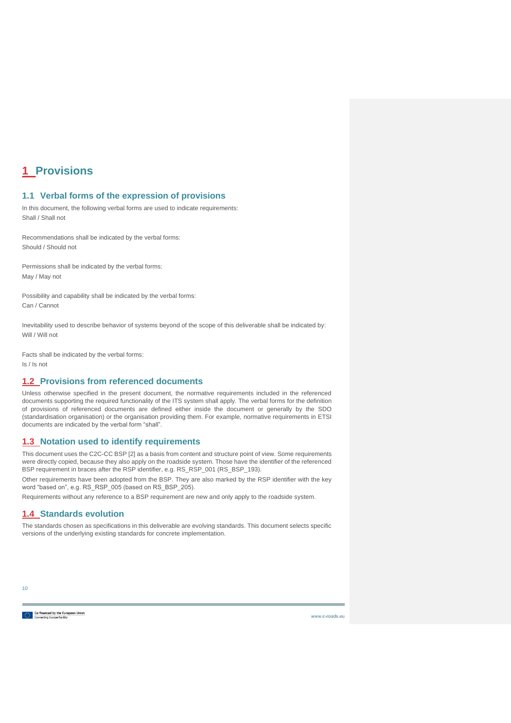# <span id="page-10-0"></span>**1 Provisions**

## <span id="page-10-1"></span>**1.1 Verbal forms of the expression of provisions**

In this document, the following verbal forms are used to indicate requirements: Shall / Shall not

Recommendations shall be indicated by the verbal forms: Should / Should not

Permissions shall be indicated by the verbal forms: May / May not

Possibility and capability shall be indicated by the verbal forms: Can / Cannot

Inevitability used to describe behavior of systems beyond of the scope of this deliverable shall be indicated by: Will / Will not

Facts shall be indicated by the verbal forms: Is / Is not

## <span id="page-10-2"></span>**1.2 Provisions from referenced documents**

Unless otherwise specified in the present document, the normative requirements included in the referenced documents supporting the required functionality of the ITS system shall apply. The verbal forms for the definition of provisions of referenced documents are defined either inside the document or generally by the SDO (standardisation organisation) or the organisation providing them. For example, normative requirements in ETSI documents are indicated by the verbal form "shall".

## <span id="page-10-3"></span>**1.3 Notation used to identify requirements**

This document uses the C2C-CC BSP [\[2\]](#page-30-2) as a basis from content and structure point of view. Some requirements were directly copied, because they also apply on the roadside system. Those have the identifier of the referenced BSP requirement in braces after the RSP identifier, e.g. RS\_RSP\_001 (RS\_BSP\_193).

Other requirements have been adopted from the BSP. They are also marked by the RSP identifier with the key word "based on", e.g. RS\_RSP\_005 (based on RS\_BSP\_205).

Requirements without any reference to a BSP requirement are new and only apply to the roadside system.

## <span id="page-10-4"></span>**1.4 Standards evolution**

The standards chosen as specifications in this deliverable are evolving standards. This document selects specific versions of the underlying existing standards for concrete implementation.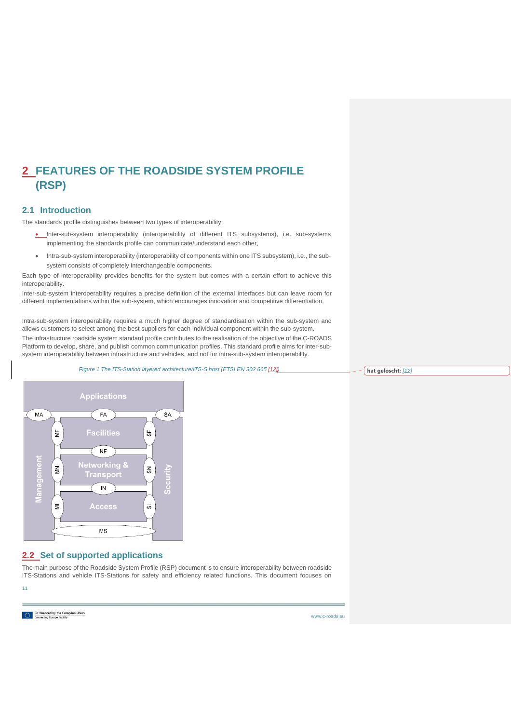# <span id="page-11-0"></span>**2 FEATURES OF THE ROADSIDE SYSTEM PROFILE (RSP)**

## <span id="page-11-1"></span>**2.1 Introduction**

The standards profile distinguishes between two types of interoperability:

- Inter-sub-system interoperability (interoperability of different ITS subsystems), i.e. sub-systems implementing the standards profile can communicate/understand each other,
- Intra-sub-system interoperability (interoperability of components within one ITS subsystem), i.e., the subsystem consists of completely interchangeable components.

Each type of interoperability provides benefits for the system but comes with a certain effort to achieve this interoperability.

Inter-sub-system interoperability requires a precise definition of the external interfaces but can leave room for different implementations within the sub-system, which encourages innovation and competitive differentiation.

Intra-sub-system interoperability requires a much higher degree of standardisation within the sub-system and allows customers to select among the best suppliers for each individual component within the sub-system. The infrastructure roadside system standard profile contributes to the realisation of the objective of the C-ROADS Platform to develop, share, and publish common communication profiles. This standard profile aims for inter-subsystem interoperability between infrastructure and vehicles, and not for intra-sub-system interoperability.

*Figure 1 The ITS-Station layered architecture/ITS-S host (ETSI EN 302 665 [\[12\]\)](#page-31-1)*

**[hat gelöscht:](#page-31-1)** *[12]*

<span id="page-11-3"></span>

## <span id="page-11-2"></span>**2.2 Set of supported applications**

The main purpose of the Roadside System Profile (RSP) document is to ensure interoperability between roadside ITS-Stations and vehicle ITS-Stations for safety and efficiency related functions. This document focuses on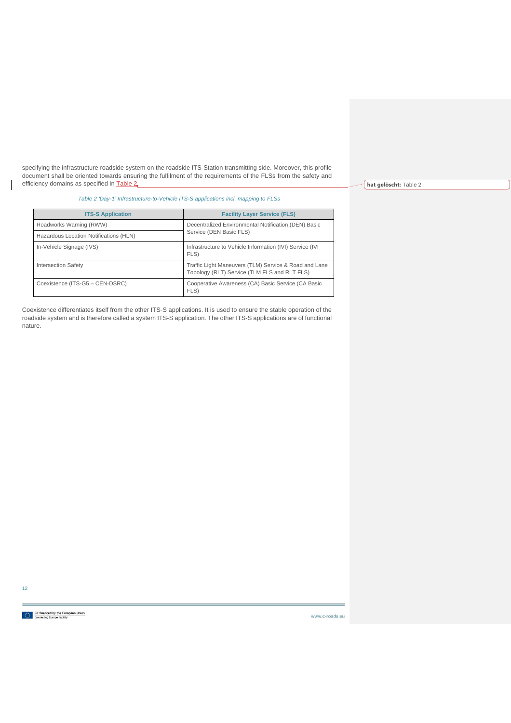specifying the infrastructure roadside system on the roadside ITS-Station transmitting side. Moreover, this profile document shall be oriented towards ensuring the fulfilment of the requirements of the FLSs from the safety and efficiency domains as specified in [Table 2.](#page-12-0)

*Table 2 'Day-1' Infrastructure-to-Vehicle ITS-S applications incl. mapping to FLSs*

<span id="page-12-0"></span>

| <b>ITS-S Application</b>               | <b>Facility Layer Service (FLS)</b>                                                                   |  |  |  |  |
|----------------------------------------|-------------------------------------------------------------------------------------------------------|--|--|--|--|
| Roadworks Warning (RWW)                | Decentralized Environmental Notification (DEN) Basic                                                  |  |  |  |  |
| Hazardous Location Notifications (HLN) | Service (DEN Basic FLS)                                                                               |  |  |  |  |
| In-Vehicle Signage (IVS)               | Infrastructure to Vehicle Information (IVI) Service (IVI)<br>FLS)                                     |  |  |  |  |
| Intersection Safety                    | Traffic Light Maneuvers (TLM) Service & Road and Lane<br>Topology (RLT) Service (TLM FLS and RLT FLS) |  |  |  |  |
| Coexistence (ITS-G5 - CEN-DSRC)        | Cooperative Awareness (CA) Basic Service (CA Basic<br>FLS)                                            |  |  |  |  |

Coexistence differentiates itself from the other ITS-S applications. It is used to ensure the stable operation of the roadside system and is therefore called a system ITS-S application. The other ITS-S applications are of functional nature.

12

**[hat gelöscht:](#page-12-0)** Table 2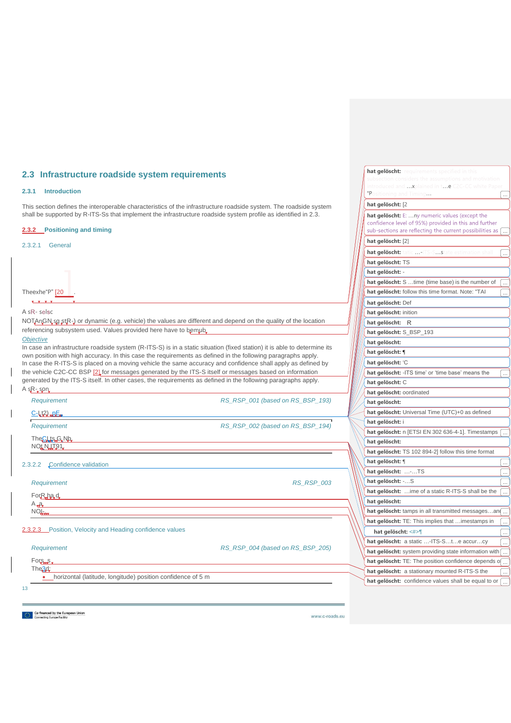## <span id="page-13-0"></span>**2.3 Infrastructure roadside system requirements**

### <span id="page-13-1"></span>**2.3.1 Introduction**

This section defines the interoperable characteristics of the infrastructure roadside system. The roadside system shall be supported by R-ITS-Ss that implement the infrastructure roadside system profile as identified in [2.3.](#page-13-0)

### <span id="page-13-2"></span>**2.3.2 Positioning and timing**

### <span id="page-13-3"></span>2.3.2.1 General

|                                                                                                                                              |                                  | hat gelöscht: TS                                                  |
|----------------------------------------------------------------------------------------------------------------------------------------------|----------------------------------|-------------------------------------------------------------------|
|                                                                                                                                              |                                  | hat gelöscht: -                                                   |
|                                                                                                                                              |                                  | hat gelöscht: S time (time base) is the number of                 |
| Theexhe"P" [20                                                                                                                               |                                  | hat gelöscht: follow this time format. Note: "TAI                 |
| <b>V.V.V.V.</b>                                                                                                                              |                                  | hat gelöscht: Def                                                 |
| A sR-selsc                                                                                                                                   |                                  | hat gelöscht: inition                                             |
| NOTAnGN sq stR-) or dynamic (e.g. vehicle) the values are different and depend on the quality of the location                                |                                  | hat gelöscht: R                                                   |
| referencing subsystem used. Values provided here have to bemub.                                                                              |                                  | hat gelöscht: S_BSP_193                                           |
| <b>Objective</b><br>In case an infrastructure roadside system (R-ITS-S) is in a static situation (fixed station) it is able to determine its |                                  | hat gelöscht:                                                     |
| own position with high accuracy. In this case the requirements as defined in the following paragraphs apply.                                 |                                  | hat gelöscht: ¶                                                   |
| In case the R-ITS-S is placed on a moving vehicle the same accuracy and confidence shall apply as defined by                                 |                                  | hat gelöscht: 'C                                                  |
| the vehicle C2C-CC BSP [2] for messages generated by the ITS-S itself or messages based on information                                       |                                  | hat gelöscht: - ITS time' or 'time base' means the                |
| generated by the ITS-S itself. In other cases, the requirements as defined in the following paragraphs apply.                                |                                  | hat gelöscht: C                                                   |
| $A$ sR-son                                                                                                                                   |                                  | hat gelöscht: oordinated                                          |
| Requirement                                                                                                                                  | RS RSP 001 (based on RS BSP 193) | hat gelöscht:                                                     |
| $C-1/2$ , $nE_n$                                                                                                                             |                                  | hat gelöscht: Universal Time (UTC)+0 as defined                   |
| Requirement                                                                                                                                  | RS RSP 002 (based on RS BSP 194) | hat gelöscht: i                                                   |
|                                                                                                                                              |                                  | hat gelöscht: n [ETSI EN 302 636-4-1]. Timestamps $\sqrt{ }$      |
| The Clis G Nb<br>NOt NUT91                                                                                                                   |                                  | hat gelöscht:                                                     |
|                                                                                                                                              |                                  | hat gelöscht: TS 102 894-2] follow this time format               |
| Confidence validation<br>2.3.2.2                                                                                                             |                                  | hat gelöscht: ¶<br>$\ldots$                                       |
|                                                                                                                                              |                                  | hat gelöscht: -TS                                                 |
| Requirement                                                                                                                                  | <b>RS RSP 003</b>                | hat gelöscht: - S<br>$\cdots$                                     |
| ForRhad                                                                                                                                      |                                  | hat gelöscht: ime of a static R-ITS-S shall be the                |
| $A_{\nu}A_{\nu}$                                                                                                                             |                                  | hat gelöscht:                                                     |
| <b>NOL</b>                                                                                                                                   |                                  | hat gelöscht: tamps in all transmitted messagesan.                |
|                                                                                                                                              |                                  | hat gelöscht: TE: This implies that  imestamps in                 |
| 2.3.2.3 Position, Velocity and Heading confidence values                                                                                     |                                  | hat gelöscht: <#>¶                                                |
|                                                                                                                                              |                                  | hat gelöscht: a static -ITS-Ste accurcy                           |
| Requirement                                                                                                                                  | RS RSP 004 (based on RS BSP 205) | hat gelöscht: system providing state information with             |
| $For s$                                                                                                                                      |                                  | hat gelöscht: TE: The position confidence depends o $\overline{}$ |
| The <sub>3d</sub> :<br>• horizontal (latitude, longitude) position confidence of 5 m                                                         |                                  | hat gelöscht: a stationary mounted R-ITS-S the                    |
|                                                                                                                                              |                                  | hat gelöscht: confidence values shall be equal to or              |
| 13                                                                                                                                           |                                  |                                                                   |

<span id="page-13-5"></span><span id="page-13-4"></span>Co-financed by the European Union<br>Connecting Europe Facility

www.c-roads.eu

**hat gelöscht:** 

**hat gelöscht:** [2 **hat gelöscht:** …n

**[hat gelöscht:](#page-30-2)** [2]

 $...$ xplained in t $...$ e "Positioning and Timing...  $\begin{bmatrix} \dots \end{bmatrix}$ 

hat gelöscht: tatic ...-ITS-S...state estimation shall [.

...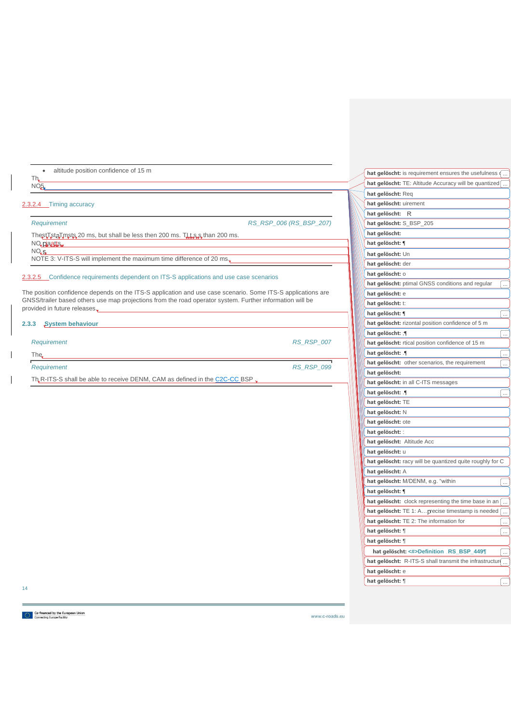<span id="page-14-2"></span><span id="page-14-1"></span><span id="page-14-0"></span>

| altitude position confidence of 15 m<br>$\bullet$                                                           |                         |                                                   | hat gelöscht: is requirement ensures the usefulness $\sqrt{ }$   |
|-------------------------------------------------------------------------------------------------------------|-------------------------|---------------------------------------------------|------------------------------------------------------------------|
| Th,<br>NO <sub>5</sub>                                                                                      |                         |                                                   | hat gelöscht: TE: Altitude Accuracy will be quantized $\sqrt{ }$ |
|                                                                                                             |                         | hat gelöscht: Req                                 |                                                                  |
| 2.3.2.4 Timing accuracy                                                                                     |                         | hat gelöscht: uirement                            |                                                                  |
|                                                                                                             |                         | hat gelöscht: R                                   |                                                                  |
| Requirement                                                                                                 | RS RSP 006 (RS BSP 207) | hat gelöscht: S_BSP_205                           |                                                                  |
| ThestTstaTmsts 20 ms, but shall be less then 200 ms. This is than 200 ms.                                   |                         | hat gelöscht:                                     |                                                                  |
| NO piaatts                                                                                                  |                         | hat gelöscht: ¶                                   |                                                                  |
| NO <sub>n</sub> S <sub>n</sub>                                                                              |                         | hat gelöscht: Un                                  |                                                                  |
| NOTE 3: V-ITS-S will implement the maximum time difference of 20 ms.                                        |                         | hat gelöscht: der                                 |                                                                  |
|                                                                                                             |                         | hat gelöscht: 0                                   |                                                                  |
| 2.3.2.5 Confidence requirements dependent on ITS-S applications and use case scenarios                      |                         | hat gelöscht: ptimal GNSS conditions and regular  |                                                                  |
| The position confidence depends on the ITS-S application and use case scenario. Some ITS-S applications are |                         | hat gelöscht: e                                   |                                                                  |
| GNSS/trailer based others use map projections from the road operator system. Further information will be    |                         | hat gelöscht: t:                                  |                                                                  |
| provided in future releases.                                                                                |                         | hat gelöscht: ¶                                   | $\ddotsc$                                                        |
| System behaviour<br>2.3.3                                                                                   |                         | hat gelöscht: rizontal position confidence of 5 m |                                                                  |
|                                                                                                             |                         | hat gelöscht: : [                                 |                                                                  |
| Requirement                                                                                                 | <b>RS RSP 007</b>       | hat gelöscht: rtical position confidence of 15 m  |                                                                  |
| The                                                                                                         |                         | hat gelöscht: ¶                                   | $\ddotsc$                                                        |
|                                                                                                             |                         | hat gelöscht: other scenarios, the requirement    |                                                                  |
| Requirement                                                                                                 | <b>RS_RSP_099</b>       | hat gelöscht:                                     |                                                                  |
| Th R-ITS-S shall be able to receive DENM, CAM as defined in the C2C-CC BSP $\Box$                           |                         | hat gelöscht: in all C-ITS messages               |                                                                  |
|                                                                                                             |                         | hat gelöscht: [                                   | $\ddotsc$                                                        |
|                                                                                                             |                         | hat gelöscht: TE                                  |                                                                  |

14

**hat gelöscht:** N **hat gelöscht:** ote **hat gelöscht:** :

**hat gelöscht:** u

**hat gelöscht:** A

**hat gelöscht:** ¶

**hat gelöscht:** ¶ ... **hat gelöscht:** ¶

**hat gelöscht:** e

**hat gelöscht:** Altitude Acc

hat gelöscht: M/DENM, e.g. "within

hat gelöscht: TE 2: The information for

**hat gelöscht:** racy will be quantized quite roughly for C

hat gelöscht: clock representing the time base in an [ hat gelöscht: TE 1: A...precise timestamp is needed [

**hat gelöscht: <#>Definition RS\_BSP\_449¶** ... hat gelöscht: R-ITS-S shall transmit the infrastructure...

**hat gelöscht:** ¶ ...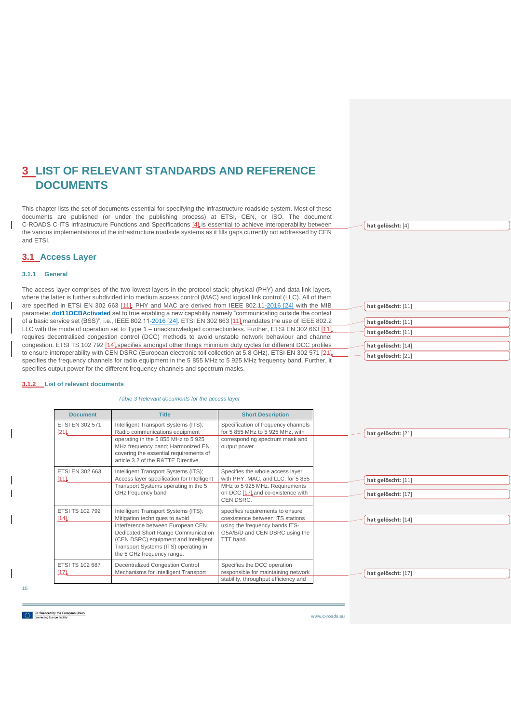# <span id="page-15-0"></span>**3 LIST OF RELEVANT STANDARDS AND REFERENCE DOCUMENTS**

This chapter lists the set of documents essential for specifying the infrastructure roadside system. Most of these documents are published (or under the publishing process) at ETSI, CEN, or ISO. The document C-ROADS C-ITS Infrastructure Functions and Specifications [\[4\]](#page-31-2) is essential to achieve interoperability between the various implementations of the infrastructure roadside systems as it fills gaps currently not addressed by CEN and ETSI.

**[hat gelöscht:](#page-31-2)** [4]

**[hat gelöscht:](#page-31-3)** [11] **[hat gelöscht:](#page-31-3)** [11] **[hat gelöscht:](#page-31-3)** [11] **[hat gelöscht:](#page-31-4)** [14] **[hat gelöscht:](#page-30-3)** [21]

## <span id="page-15-1"></span>**3.1 Access Layer**

### <span id="page-15-2"></span>**3.1.1 General**

The access layer comprises of the two lowest layers in the protocol stack; physical (PHY) and data link layers, where the latter is further subdivided into medium access control (MAC) and logical link control (LLC). All of them are specified in ETSI EN 302 663 [\[11\].](#page-31-3) PHY and MAC are derived from IEEE 802.11-2016 [24] with the MIB parameter **dot11OCBActivated** set to true enabling a new capability namely "communicating outside the context of a basic service set (BSS)", i.e., IEEE 802.11-2016 [24]. ETSI EN 302 663 [\[11\]](#page-31-3) mandates the use of IEEE 802.2 LLC with the mode of operation set to Type 1 – unacknowledged connectionless. Further, ETSI EN 302 663 [\[11\]](#page-31-3) requires decentralised congestion control (DCC) methods to avoid unstable network behaviour and channel congestion. ETSI TS 102 792 [\[14\]](#page-31-4) specifies amongst other things minimum duty cycles for different DCC profiles to ensure interoperability with CEN DSRC (European electronic toll collection at 5.8 GHz). ETSI EN 302 571 [\[21\]](#page-30-3) specifies the frequency channels for radio equipment in the 5 855 MHz to 5 925 MHz frequency band. Further, it specifies output power for the different frequency channels and spectrum masks.

#### <span id="page-15-4"></span><span id="page-15-3"></span>**3.1.2 List of relevant documents**

*Table 3 Relevant documents for the access layer*

| <b>Document</b>          | <b>Title</b>                                                                                                                                                                                                                                                     | <b>Short Description</b>                                                                                                                                  |
|--------------------------|------------------------------------------------------------------------------------------------------------------------------------------------------------------------------------------------------------------------------------------------------------------|-----------------------------------------------------------------------------------------------------------------------------------------------------------|
| ETSI EN 302 571<br>[21]  | Intelligent Transport Systems (ITS);<br>Radio communications equipment<br>operating in the 5 855 MHz to 5 925<br>MHz frequency band; Harmonized EN<br>covering the essential requirements of<br>article 3.2 of the R&TTE Directive                               | Specification of frequency channels<br>for 5 855 MHz to 5 925 MHz, with<br>corresponding spectrum mask and<br>output power.                               |
| ETSI EN 302 663<br>$111$ | Intelligent Transport Systems (ITS);<br>Access layer specification for Intelligent<br>Transport Systems operating in the 5<br>GHz frequency band                                                                                                                 | Specifies the whole access layer<br>with PHY, MAC, and LLC, for 5 855<br>MHz to 5 925 MHz. Requirements<br>on DCC [17] and co-existence with<br>CEN DSRC. |
| ETSI TS 102 792<br>141   | Intelligent Transport Systems (ITS);<br>Mitigation techniques to avoid<br>interference between European CEN<br>Dedicated Short Range Communication<br>(CEN DSRC) equipment and Intelligent<br>Transport Systems (ITS) operating in<br>the 5 GHz frequency range. | specifies requirements to ensure<br>coexistence between ITS stations<br>using the frequency bands ITS-<br>G5A/B/D and CEN DSRC using the<br>TTT band.     |
| ETSI TS 102 687<br>117   | <b>Decentralized Congestion Control</b><br>Mechanisms for Intelligent Transport                                                                                                                                                                                  | Specifies the DCC operation<br>responsible for maintaining network<br>stability, throughput efficiency and                                                |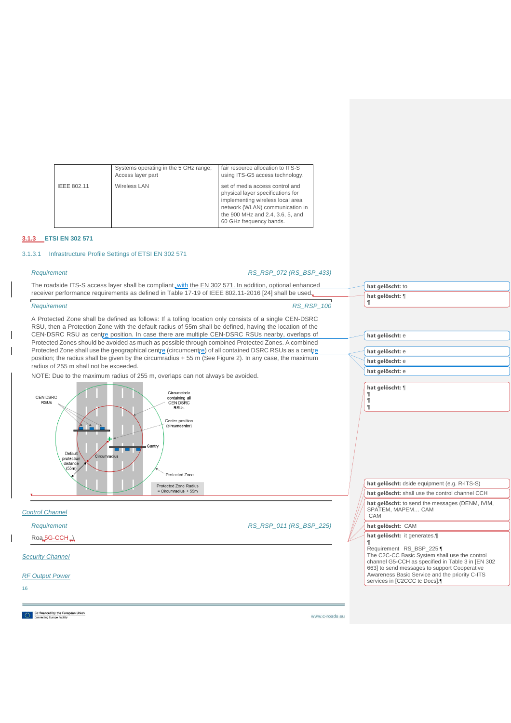|             | Systems operating in the 5 GHz range:<br>Access layer part | fair resource allocation to ITS-S<br>using ITS-G5 access technology.                                                                                                                                       |
|-------------|------------------------------------------------------------|------------------------------------------------------------------------------------------------------------------------------------------------------------------------------------------------------------|
| IEEE 802.11 | Wireless LAN                                               | set of media access control and<br>physical layer specifications for<br>implementing wireless local area<br>network (WLAN) communication in<br>the 900 MHz and 2.4, 3.6, 5, and<br>60 GHz frequency bands. |

### <span id="page-16-0"></span>**3.1.3 ETSI EN 302 571**

## <span id="page-16-1"></span>3.1.3.1 Infrastructure Profile Settings of ETSI EN 302 571

 $\overline{\phantom{a}}$  $\overline{\phantom{a}}$ 

 $\mathbf I$ 

*Requirement RS\_RSP\_072 (RS\_BSP\_433)*

| The roadside ITS-S access layer shall be compliant, with the EN 302 571. In addition, optional enhanced                                                                                                                                                                                                                                                                                                                                                                                                                                                                                                                                                                                                                                                                                                                                                                                                     | hat gelöscht: to                                                                                                                                                                                                                                                |
|-------------------------------------------------------------------------------------------------------------------------------------------------------------------------------------------------------------------------------------------------------------------------------------------------------------------------------------------------------------------------------------------------------------------------------------------------------------------------------------------------------------------------------------------------------------------------------------------------------------------------------------------------------------------------------------------------------------------------------------------------------------------------------------------------------------------------------------------------------------------------------------------------------------|-----------------------------------------------------------------------------------------------------------------------------------------------------------------------------------------------------------------------------------------------------------------|
| receiver performance requirements as defined in Table 17-19 of IEEE 802.11-2016 [24] shall be used.                                                                                                                                                                                                                                                                                                                                                                                                                                                                                                                                                                                                                                                                                                                                                                                                         | hat gelöscht: ¶                                                                                                                                                                                                                                                 |
| <b>RS_RSP_100</b><br>Requirement                                                                                                                                                                                                                                                                                                                                                                                                                                                                                                                                                                                                                                                                                                                                                                                                                                                                            |                                                                                                                                                                                                                                                                 |
| A Protected Zone shall be defined as follows: If a tolling location only consists of a single CEN-DSRC<br>RSU, then a Protection Zone with the default radius of 55m shall be defined, having the location of the<br>CEN-DSRC RSU as centre position. In case there are multiple CEN-DSRC RSUs nearby, overlaps of<br>Protected Zones should be avoided as much as possible through combined Protected Zones. A combined<br>Protected Zone shall use the geographical centre (circumcentre) of all contained DSRC RSUs as a centre<br>position; the radius shall be given by the circumradius +55 m (See Figure 2). In any case, the maximum<br>radius of 255 m shall not be exceeded.<br>NOTE: Due to the maximum radius of 255 m, overlaps can not always be avoided.<br>Circumcircle<br>CEN DSRC<br>containing all<br><b>RSUs</b><br><b>CEN DSRC</b><br><b>RSUs</b><br>Center position<br>(circumcenter) | hat gelöscht: e<br>hat gelöscht: e<br>hat gelöscht: e<br>hat gelöscht: e<br>hat gelöscht: ¶<br>$\P$                                                                                                                                                             |
| Gantry<br>Default<br>Circumradius<br>protection<br>distance<br>(55m)<br>Protected Zone<br>Protected Zone Radius<br>$=$ Circumradius + 55m                                                                                                                                                                                                                                                                                                                                                                                                                                                                                                                                                                                                                                                                                                                                                                   | hat gelöscht: dside equipment (e.g. R-ITS-S)<br>hat gelöscht: shall use the control channel CCH<br>hat gelöscht: to send the messages (DENM, IVIM,                                                                                                              |
| <b>Control Channel</b>                                                                                                                                                                                                                                                                                                                                                                                                                                                                                                                                                                                                                                                                                                                                                                                                                                                                                      | SPATEM, MAPEM CAM<br>CAM                                                                                                                                                                                                                                        |
| RS_RSP_011 (RS_BSP_225)<br>Requirement                                                                                                                                                                                                                                                                                                                                                                                                                                                                                                                                                                                                                                                                                                                                                                                                                                                                      | hat gelöscht: CAM                                                                                                                                                                                                                                               |
| Roa <sub>5G-CCH</sub>                                                                                                                                                                                                                                                                                                                                                                                                                                                                                                                                                                                                                                                                                                                                                                                                                                                                                       | hat gelöscht: it generates.¶                                                                                                                                                                                                                                    |
| <b>Security Channel</b><br><b>RF Output Power</b>                                                                                                                                                                                                                                                                                                                                                                                                                                                                                                                                                                                                                                                                                                                                                                                                                                                           | Requirement RS BSP 2251<br>The C2C-CC Basic System shall use the control<br>channel G5-CCH as specified in Table 3 in [EN 302<br>663] to send messages to support Cooperative<br>Awareness Basic Service and the priority C-ITS<br>services in [C2CCC tc Docs]. |
| 16                                                                                                                                                                                                                                                                                                                                                                                                                                                                                                                                                                                                                                                                                                                                                                                                                                                                                                          |                                                                                                                                                                                                                                                                 |
|                                                                                                                                                                                                                                                                                                                                                                                                                                                                                                                                                                                                                                                                                                                                                                                                                                                                                                             |                                                                                                                                                                                                                                                                 |
| Co-financed by the European Union<br>www.c-roads.eu<br><b>Connecting Europe Facility</b>                                                                                                                                                                                                                                                                                                                                                                                                                                                                                                                                                                                                                                                                                                                                                                                                                    |                                                                                                                                                                                                                                                                 |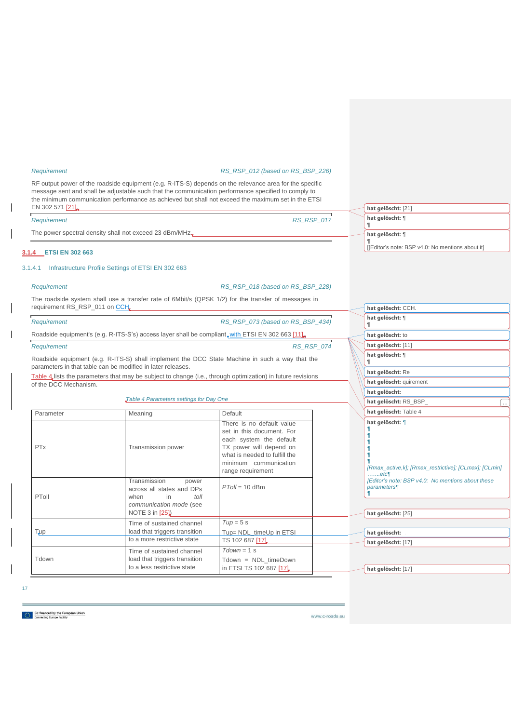#### *Requirement RS\_RSP\_012 (based on RS\_BSP\_226)*

RF output power of the roadside equipment (e.g. R-ITS-S) depends on the relevance area for the specific message sent and shall be adjustable such that the communication performance specified to comply to the minimum communication performance as achieved but shall not exceed the maximum set in the ETSI EN 302 571 [\[21\].](#page-30-3)

| EN 302 571 [21]                                         |            | hat gelöscht: [21]                               |
|---------------------------------------------------------|------------|--------------------------------------------------|
| Requirement                                             | RS RSP 017 | hat gelöscht: ¶                                  |
| The power spectral density shall not exceed 23 dBm/MHz. |            | hat gelöscht: ¶                                  |
|                                                         |            | [[Editor's note: BSP v4.0: No mentions about it] |

### <span id="page-17-0"></span>**3.1.4 ETSI EN 302 663**

### <span id="page-17-1"></span>3.1.4.1 Infrastructure Profile Settings of ETSI EN 302 663

*Requirement RS\_RSP\_018 (based on RS\_BSP\_228)*

**hat gelöscht:** CCH.

The roadside system shall use a transfer rate of 6Mbit/s (QPSK 1/2) for the transfer of messages in requirement RS\_RSP\_011 on CCH.

<span id="page-17-2"></span>

| Requirement           |                                                                                                                                                               | RS RSP 073 (based on RS BSP 434)                                                                                                                                                            |                   | hat gelöscht: ¶                                                                        |
|-----------------------|---------------------------------------------------------------------------------------------------------------------------------------------------------------|---------------------------------------------------------------------------------------------------------------------------------------------------------------------------------------------|-------------------|----------------------------------------------------------------------------------------|
|                       | Roadside equipment's (e.g. R-ITS-S's) access layer shall be compliant, with ETSI EN 302 663 [11]                                                              |                                                                                                                                                                                             |                   | hat gelöscht: to                                                                       |
| Requirement           |                                                                                                                                                               |                                                                                                                                                                                             | <b>RS RSP 074</b> | hat gelöscht: [11]                                                                     |
|                       | Roadside equipment (e.g. R-ITS-S) shall implement the DCC State Machine in such a way that the<br>parameters in that table can be modified in later releases. |                                                                                                                                                                                             |                   | hat gelöscht: ¶                                                                        |
|                       | Table 4 lists the parameters that may be subject to change (i.e., through optimization) in future revisions                                                   |                                                                                                                                                                                             |                   | hat gelöscht: Re                                                                       |
| of the DCC Mechanism. |                                                                                                                                                               |                                                                                                                                                                                             |                   | hat gelöscht: quirement                                                                |
|                       |                                                                                                                                                               |                                                                                                                                                                                             |                   | hat gelöscht:                                                                          |
|                       | Table 4 Parameters settings for Day One                                                                                                                       |                                                                                                                                                                                             |                   | hat gelöscht: RS_BSP_<br>$\ldots$                                                      |
| Parameter             | Meaning                                                                                                                                                       | Default                                                                                                                                                                                     |                   | hat gelöscht: Table 4                                                                  |
| <b>PTx</b>            | Transmission power                                                                                                                                            | There is no default value<br>set in this document. For<br>each system the default<br>TX power will depend on<br>what is needed to fulfill the<br>minimum communication<br>range requirement |                   | hat gelöscht: ¶<br>[Rmax_active,k]; [Rmax_restrictive]; [CLmax]; [CLmin]<br>etc        |
| PToll                 | Transmission<br>power<br>across all states and DPs<br>in<br>when<br>$t$ oll<br>communication mode (see<br><b>NOTE 3 in [25])</b>                              | $PToll = 10$ dBm                                                                                                                                                                            |                   | [Editor's note: BSP v4.0: No mentions about these<br>parameters¶<br>hat gelöscht: [25] |
|                       | Time of sustained channel                                                                                                                                     | $T$ up = 5 s                                                                                                                                                                                |                   |                                                                                        |
| Tup                   | load that triggers transition<br>to a more restrictive state                                                                                                  | Tup= NDL_timeUp in ETSI                                                                                                                                                                     |                   | hat gelöscht:                                                                          |
|                       |                                                                                                                                                               | TS 102 687 [17]                                                                                                                                                                             |                   | hat gelöscht: [17]                                                                     |
| Tdown                 | Time of sustained channel<br>load that triggers transition<br>to a less restrictive state                                                                     | $Tdown = 1 s$<br>Tdown = NDL_timeDown<br>in ETSI TS 102 687 [17].                                                                                                                           |                   | hat gelöscht: [17]                                                                     |

17

**Co-financed by the European Union**<br>**Connecting Europe Facility**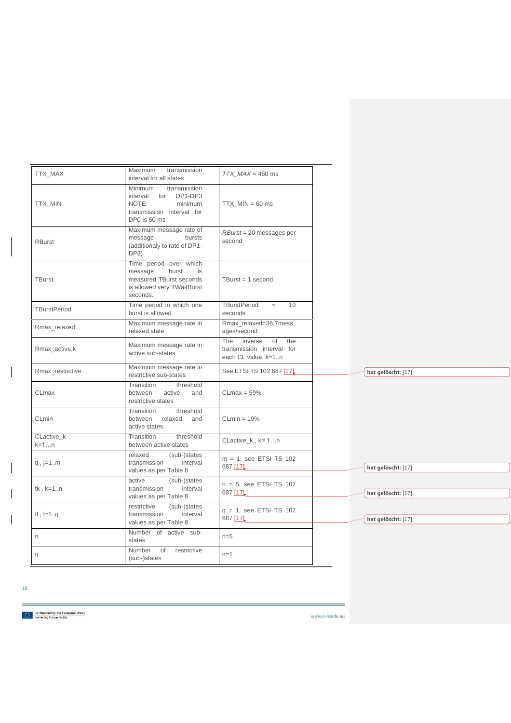| TTX_MAX              | <b>Maximum</b><br>transmission<br>interval for all states                                                             | $TTX$ MAX = 460 ms                                                        |
|----------------------|-----------------------------------------------------------------------------------------------------------------------|---------------------------------------------------------------------------|
| TTX_MIN              | Minimum<br>transmission<br>interval for DP1-DP3<br>NOTE:<br>minimum<br>transmission interval for<br>DP0 is 50 ms      | $TTX_MIN = 60$ ms                                                         |
| <b>RBurst</b>        | Maximum message rate of<br>message<br>bursts<br>(additionaly to rate of DP1-<br>DP3)                                  | $RBurst = 20$ messages per<br>second                                      |
| <b>TBurst</b>        | Time period over which<br>message<br>burst<br>is<br>measured TBurst seconds<br>is allowed very TWaitBurst<br>seconds. | TBurst = $1$ second                                                       |
| <b>TBurstPeriod</b>  | Time period in which one<br>burst is allowed.                                                                         | TBurstPeriod<br>10<br>$=$<br>seconds                                      |
| Rmax relaxed         | Maximum message rate in<br>relaxed state                                                                              | Rmax_relaxed=36,7mess<br>ages/second                                      |
| Rmax active, k       | Maximum message rate in<br>active sub-states                                                                          | The inverse<br>of the<br>transmission interval for<br>each CL value, k=1n |
| Rmax restrictive     | Maximum message rate in<br>restrictive sub-states                                                                     | See ETSI TS 102 687 [17]                                                  |
| CLmax                | Transition<br>threshold<br>between<br>active<br>and<br>restrictive states                                             | $CLmax = 59%$                                                             |
| CLmin                | threshold<br>Transition<br>relaxed and<br>between<br>active states                                                    | $CLmin = 19%$                                                             |
| CLactive k<br>$k=1n$ | threshold<br>Transition<br>between active states                                                                      | CLactive_ $k, k=1n$                                                       |
| $ij$ , j=1m          | (sub-)states<br>relaxed<br>interval<br>transmission<br>values as per Table 8                                          | $m = 1$ , see ETSI TS 102<br>687 [17]                                     |
| $tk, k=1n$           | active<br>(sub-)states<br>transmission<br>interval<br>values as per Table 8                                           | $n = 5$ , see ETSI TS 102<br>687 [17]                                     |
| $t , l=1q$           | restrictive<br>(sub-)states<br>transmission<br>interval<br>values as per Table 8                                      | $q = 1$ , see ETSI TS 102<br>687 [17]                                     |
| n                    | Number of active sub-<br>states                                                                                       | $n=5$                                                                     |
| q                    | Number of restrictive<br>(sub-)states                                                                                 | $n=1$                                                                     |

18

 $\overline{\phantom{a}}$ 

 $\overline{\phantom{a}}$ 

 $\overline{\phantom{a}}$ 

Co-financed by the European Union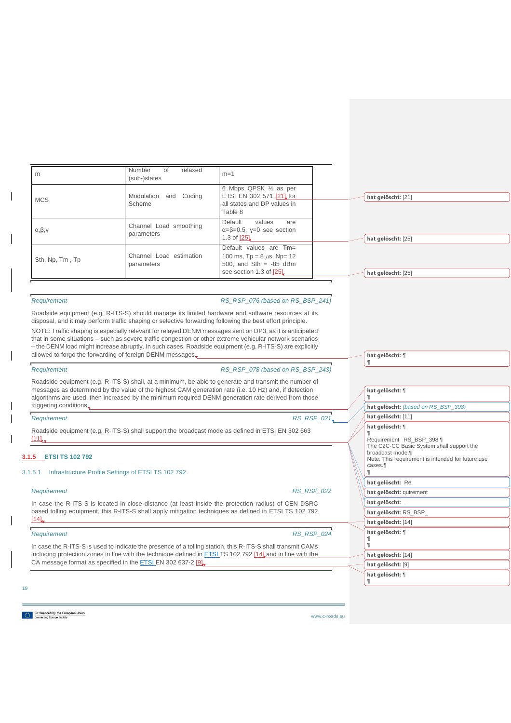| m                       | Number<br>relaxed<br>of<br>(sub-)states | $m=1$                                                                                                             |                    |
|-------------------------|-----------------------------------------|-------------------------------------------------------------------------------------------------------------------|--------------------|
| <b>MCS</b>              | Modulation and Coding<br>Scheme         | 6 Mbps QPSK 1/2 as per<br>ETSI EN 302 571 [21] for<br>all states and DP values in<br>Table 8                      | hat gelöscht: [21] |
| $\alpha, \beta, \gamma$ | Channel Load smoothing<br>parameters    | Default<br>values<br>are<br>$\alpha = \beta = 0.5$ , $\gamma = 0$ see section<br>1.3 of [25]                      | hat gelöscht: [25] |
| Sth, Np, Tm, Tp         | Channel Load estimation<br>parameters   | Default values are Tm=<br>100 ms, $Tp = 8 \mu s$ , Np= 12<br>500, and $Sth = -85$ dBm<br>see section 1.3 of [25]. | hat gelöscht: [25] |

#### *Requirement RS\_RSP\_076 (based on RS\_BSP\_241)*

Roadside equipment (e.g. R-ITS-S) should manage its limited hardware and software resources at its disposal, and it may perform traffic shaping or selective forwarding following the best effort principle. NOTE: Traffic shaping is especially relevant for relayed DENM messages sent on DP3, as it is anticipated that in some situations – such as severe traffic congestion or other extreme vehicular network scenarios – the DENM load might increase abruptly. In such cases, Roadside equipment (e.g. R-ITS-S) are explicitly allowed to forgo the forwarding of foreign DENM messages.

*Requirement RS\_RSP\_078 (based on RS\_BSP\_243)*

Roadside equipment (e.g. R-ITS-S) shall, at a minimum, be able to generate and transmit the number of messages as determined by the value of the highest CAM generation rate (i.e. 10 Hz) and, if detection algorithms are used, then increased by the minimum required DENM generation rate derived from those triggering conditions.

### *Requirement RS\_RSP\_021*

Roadside equipment (e.g. R-ITS-S) shall support the broadcast mode as defined in ETSI EN 302 663 [\[11\].](#page-31-3)

### <span id="page-19-0"></span>**3.1.5 ETSI TS 102 792**

#### <span id="page-19-1"></span>3.1.5.1 Infrastructure Profile Settings of ETSI TS 102 792

*Requirement RS\_RSP\_022*

In case the R-ITS-S is located in close distance (at least inside the protection radius) of CEN DSRC based tolling equipment, this R-ITS-S shall apply mitigation techniques as defined in ETSI TS 102 792  $[14]$ .

### *Requirement RS\_RSP\_024*

In case the R-ITS-S is used to indicate the presence of a tolling station, this R-ITS-S shall transmit CAMs including protection zones in line with the technique defined in ETSI TS 102 792 [\[14\]](#page-31-4) and in line with the CA message format as specified in the **ETSI EN 302 637-2 [\[9\].](#page-31-5)** 

#### 19

**hat gelöscht:** ¶

¶

### **hat gelöscht:** ¶ ¶ **hat gelöscht:** *(based on RS\_BSP\_398)* **[hat gelöscht:](#page-31-3)** [11] **hat gelöscht:** ¶ ¶ Requirement RS\_BSP\_398 ¶ The C2C-CC Basic System shall support the broadcast mode.¶ Note: This requirement is intended for future use cases.¶ ¶ **hat gelöscht:** Re **hat gelöscht:** quirement **hat gelöscht: hat gelöscht:** RS\_BSP\_ **[hat gelöscht:](#page-31-4)** [14] **hat gelöscht:** ¶ ¶ ¶ **[hat gelöscht:](#page-31-4)** [14] **[hat gelöscht:](#page-31-5)** [9] **hat gelöscht:** ¶ ¶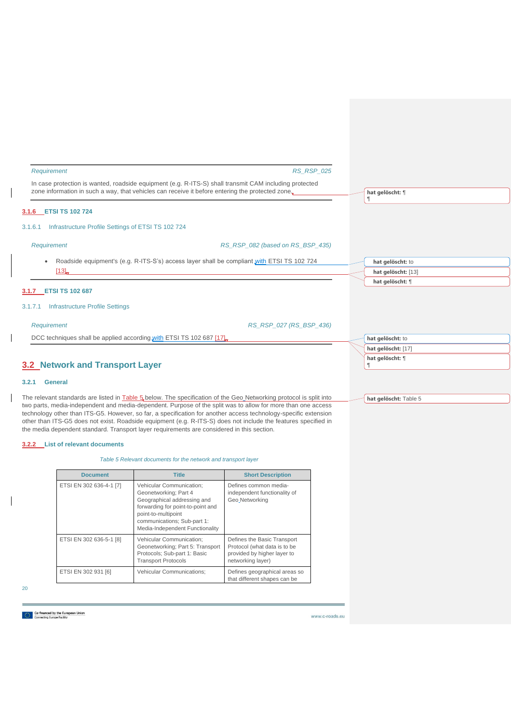<span id="page-20-1"></span><span id="page-20-0"></span>

| Requirement                                                          | <b>RS_RSP_025</b>                                                                                                                                                                                          |                                        |
|----------------------------------------------------------------------|------------------------------------------------------------------------------------------------------------------------------------------------------------------------------------------------------------|----------------------------------------|
|                                                                      | In case protection is wanted, roadside equipment (e.g. R-ITS-S) shall transmit CAM including protected<br>zone information in such a way, that vehicles can receive it before entering the protected zone. | hat gelöscht: ¶                        |
| 3.1.6 ETSI TS 102 724                                                |                                                                                                                                                                                                            |                                        |
| Infrastructure Profile Settings of ETSI TS 102 724<br>3.1.6.1        |                                                                                                                                                                                                            |                                        |
| Requirement                                                          | RS_RSP_082 (based on RS_BSP_435)                                                                                                                                                                           |                                        |
| $\bullet$<br>[13]                                                    | Roadside equipment's (e.g. R-ITS-S's) access layer shall be compliant with ETSI TS 102 724                                                                                                                 | hat gelöscht: to<br>hat gelöscht: [13] |
| 3.1.7 ETSI TS 102 687                                                |                                                                                                                                                                                                            | hat gelöscht: ¶                        |
| <b>Infrastructure Profile Settings</b><br>3.1.7.1                    |                                                                                                                                                                                                            |                                        |
| Requirement                                                          | RS RSP 027 (RS BSP 436)                                                                                                                                                                                    |                                        |
| DCC techniques shall be applied according with ETSI TS 102 687 [17]. |                                                                                                                                                                                                            | hat gelöscht: to                       |
|                                                                      |                                                                                                                                                                                                            | hat gelöscht: [17]                     |
| <b>3.2 Network and Transport Laver</b>                               |                                                                                                                                                                                                            | hat gelöscht: ¶                        |

## <span id="page-20-4"></span>**3.2 Network and Transport Layer**

#### <span id="page-20-5"></span>**3.2.1 General**

<span id="page-20-3"></span><span id="page-20-2"></span> $\overline{\phantom{a}}$ 

 $\mathbf{I}$ 

 $\overline{\phantom{a}}$ 

The relevant standards are listed in [Table 5](#page-20-7) below. The specification of the Geo Networking protocol is split into two parts, media-independent and media-dependent. Purpose of the split was to allow for more than one access technology other than ITS-G5. However, so far, a specification for another access technology-specific extension other than ITS-G5 does not exist. Roadside equipment (e.g. R-ITS-S) does not include the features specified in the media dependent standard. Transport layer requirements are considered in this section.

### <span id="page-20-7"></span><span id="page-20-6"></span>**3.2.2 List of relevant documents**

*Table 5 Relevant documents for the network and transport layer*

| <b>Document</b>         | <b>Title</b>                                                                                                                                                                                                   | <b>Short Description</b>                                                                                        |
|-------------------------|----------------------------------------------------------------------------------------------------------------------------------------------------------------------------------------------------------------|-----------------------------------------------------------------------------------------------------------------|
| ETSI EN 302 636-4-1 [7] | Vehicular Communication:<br>Geonetworking; Part 4<br>Geographical addressing and<br>forwarding for point-to-point and<br>point-to-multipoint<br>communications; Sub-part 1:<br>Media-Independent Functionality | Defines common media-<br>independent functionality of<br>Geo Networking                                         |
| ETSI EN 302 636-5-1 [8] | Vehicular Communication:<br>Geonetworking; Part 5: Transport<br>Protocols; Sub-part 1: Basic<br><b>Transport Protocols</b>                                                                                     | Defines the Basic Transport<br>Protocol (what data is to be<br>provided by higher layer to<br>networking layer) |
| ETSI EN 302 931 [6]     | <b>Vehicular Communications:</b>                                                                                                                                                                               | Defines geographical areas so<br>that different shapes can be                                                   |

20

**[hat gelöscht:](#page-20-7)** Table 5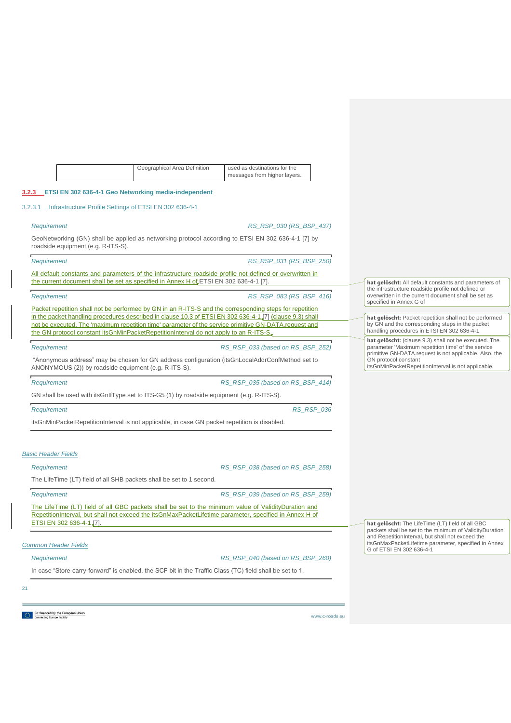| Geographical Area Definition | used as destinations for the |
|------------------------------|------------------------------|
|                              | messages from higher layers. |

### <span id="page-21-0"></span>**3.2.3 ETSI EN 302 636-4-1 Geo Networking media-independent**

#### <span id="page-21-1"></span>3.2.3.1 Infrastructure Profile Settings of ETSI EN 302 636-4-1

*Requirement RS\_RSP\_030 (RS\_BSP\_437)*

GeoNetworking (GN) shall be applied as networking protocol according to ETSI EN 302 636-4-1 [\[7\]](#page-30-5) by roadside equipment (e.g. R-ITS-S).

*Requirement RS\_RSP\_031 (RS\_BSP\_250)*

All default constants and parameters of the infrastructure roadside profile not defined or overwritten in the current document shall be set as specified in Annex H of ETSI EN 302 636-4-1 [\[7\].](#page-30-5)

*Requirement RS\_RSP\_083 (RS\_BSP\_416)*

Packet repetition shall not be performed by GN in an R-ITS-S and the corresponding steps for repetition in the packet handling procedures described in clause 10.3 of ETSI EN 302 636-4-1 [\[7\]](#page-30-5) (clause 9.3) shall not be executed. The 'maximum repetition time' parameter of the service primitive GN-DATA.request and the GN protocol constant itsGnMinPacketRepetitionInterval do not apply to an R-ITS-S,

*Requirement RS\_RSP\_033 (based on RS\_BSP\_252)*

"Anonymous address" may be chosen for GN address configuration (itsGnLocalAddrConfMethod set to ANONYMOUS (2)) by roadside equipment (e.g. R-ITS-S).

*Requirement RS\_RSP\_035 (based on RS\_BSP\_414)*

GN shall be used with itsGnIfType set to ITS-G5 (1) by roadside equipment (e.g. R-ITS-S).

| Requirement                                                                                       | <b>RS RSP 036</b> |  |
|---------------------------------------------------------------------------------------------------|-------------------|--|
| its GnMin Packet Repetition Interval is not applicable, in case GN packet repetition is disabled. |                   |  |

### *Basic Header Fields*

#### *Requirement RS\_RSP\_038 (based on RS\_BSP\_258)*

The LifeTime (LT) field of all SHB packets shall be set to 1 second.

*Requirement RS\_RSP\_039 (based on RS\_BSP\_259)*

The LifeTime (LT) field of all GBC packets shall be set to the minimum value of ValidityDuration and RepetitionInterval, but shall not exceed the itsGnMaxPacketLifetime parameter, specified in Annex H of ETSI EN 302 636-4-[1 \[7\].](#page-30-5)

#### *Common Header Fields*

*Requirement RS\_RSP\_040 (based on RS\_BSP\_260)*

In case "Store-carry-forward" is enabled, the SCF bit in the Traffic Class (TC) field shall be set to 1.

21

**Co-financed by the European Union**<br> **Connecting Europe Facility** 

www.c-roads.eu

**hat gelöscht:** All default constants and parameters of the infrastructure roadside profile not defined or overwritten in the current document shall be set as specified in Annex G of

**hat gelöscht:** Packet repetition shall not be performed by GN and the corresponding steps in the packet handling procedures in ETSI EN 302 636-4-1

**hat gelöscht:** (clause 9.3) shall not be executed. The parameter 'Maximum repetition time' of the service primitive GN-DATA.request is not applicable. Also, the GN protocol constant itsGnMinPacketRepetitionInterval is not applicable.

**hat gelöscht:** The LifeTime (LT) field of all GBC packets shall be set to the minimum of ValidityDuration and RepetitionInterval, but shall not exceed the

itsGnMaxPacketLifetime parameter, specified in Annex G of ETSI EN 302 636-4-1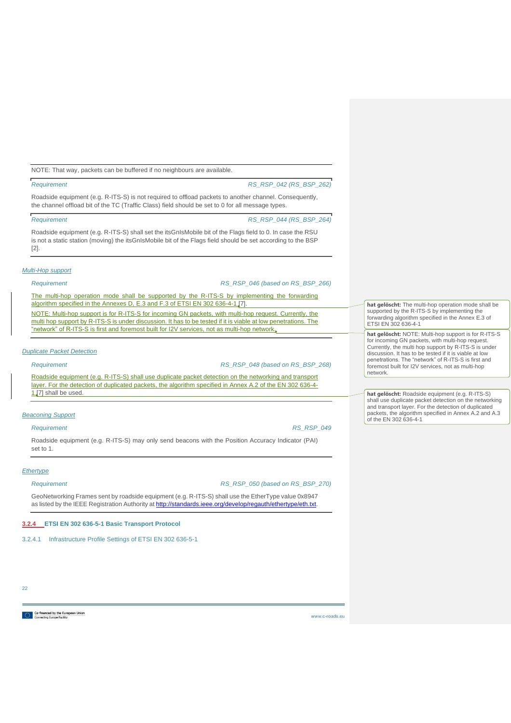NOTE: That way, packets can be buffered if no neighbours are available.

*Requirement RS\_RSP\_042 (RS\_BSP\_262)*

Roadside equipment (e.g. R-ITS-S) is not required to offload packets to another channel. Consequently, the channel offload bit of the TC (Traffic Class) field should be set to 0 for all message types.

*Requirement RS\_RSP\_044 (RS\_BSP\_264)*

Roadside equipment (e.g. R-ITS-S) shall set the itsGnIsMobile bit of the Flags field to 0. In case the RSU is not a static station (moving) the itsGnIsMobile bit of the Flags field should be set according to the BSP [\[2\].](#page-30-2)

### *Multi-Hop support*

*Requirement RS\_RSP\_046 (based on RS\_BSP\_266)*

The multi-hop operation mode shall be supported by the R-ITS-S by implementing the forwarding algorithm specified in the Annexes D, E.3 and F.3 of ETSI EN 302 636-4-1 [\[7\].](#page-30-5) NOTE: Multi-hop support is for R-ITS-S for incoming GN packets, with multi-hop request. Currently, the multi hop support by R-ITS-S is under discussion. It has to be tested if it is viable at low penetrations. The "network" of R-ITS-S is first and foremost built for I2V services, not as multi-hop network.

### *Duplicate Packet Detection*

*Requirement RS\_RSP\_048 (based on RS\_BSP\_268)*

Roadside equipment (e.g. R-ITS-S) shall use duplicate packet detection on the networking and transport layer. For the detection of duplicated packets, the algorithm specified in Annex A.2 of the EN 302 636-4- 1.[7] shall be used.

#### *Beaconing Support*

*Requirement RS\_RSP\_049*

Roadside equipment (e.g. R-ITS-S) may only send beacons with the Position Accuracy Indicator (PAI) set to 1.

### *Ethertype*

*Requirement RS\_RSP\_050 (based on RS\_BSP\_270)*

GeoNetworking Frames sent by roadside equipment (e.g. R-ITS-S) shall use the EtherType value 0x8947 as listed by the IEEE Registration Authority a[t http://standards.ieee.org/develop/regauth/ethertype/eth.txt.](http://standards.ieee.org/develop/regauth/ethertype/eth.txt)

### <span id="page-22-0"></span>**3.2.4 ETSI EN 302 636-5-1 Basic Transport Protocol**

<span id="page-22-1"></span>3.2.4.1 Infrastructure Profile Settings of ETSI EN 302 636-5-1

**hat gelöscht:** The multi-hop operation mode shall be supported by the R-ITS-S by implementing the forwarding algorithm specified in the Annex E.3 of ETSI EN 302 636-4-1

**hat gelöscht:** NOTE: Multi-hop support is for R-ITS-S for incoming GN packets, with multi-hop request. Currently, the multi hop support by R-ITS-S is under discussion. It has to be tested if it is viable at low penetrations. The "network" of R-ITS-S is first and foremost built for I2V services, not as multi-hop network.

**hat gelöscht:** Roadside equipment (e.g. R-ITS-S) shall use duplicate packet detection on the networking and transport layer. For the detection of duplicated packets, the algorithm specified in Annex A.2 and A.3 of the EN 302 636-4-1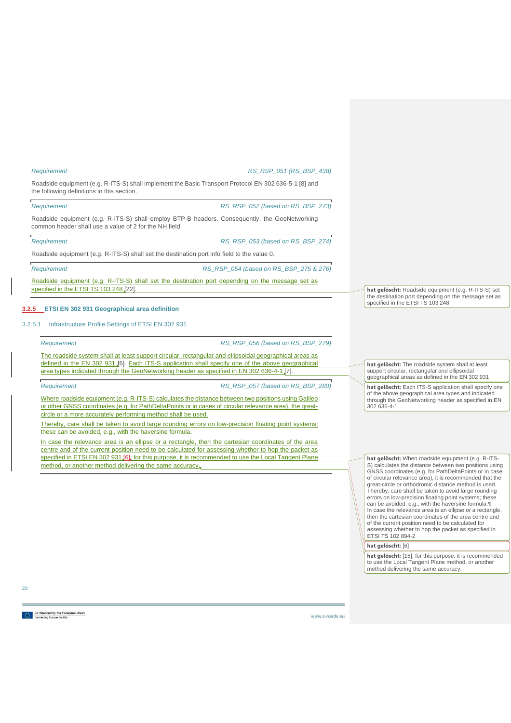#### *Requirement RS\_RSP\_051 (RS\_BSP\_438)*

Roadside equipment (e.g. R-ITS-S) shall implement the Basic Transport Protocol EN 302 636-5-1 [\[8\]](#page-30-6) and the following definitions in this section.

*Requirement RS\_RSP\_052 (based on RS\_BSP\_273)*

Roadside equipment (e.g. R-ITS-S) shall employ BTP-B headers. Consequently, the GeoNetworking common header shall use a value of 2 for the NH field.

*Requirement RS\_RSP\_053 (based on RS\_BSP\_274)*

Roadside equipment (e.g. R-ITS-S) shall set the destination port info field to the value 0.

*Requirement RS\_RSP\_054 (based on RS\_BSP\_275 & 276)*

Roadside equipment (e.g. R-ITS-S) shall set the destination port depending on the message set as specified in the ETSI TS 103 248 [\[22\].](#page-32-4)

#### <span id="page-23-0"></span>**3.2.5 ETSI EN 302 931 Geographical area definition**

#### <span id="page-23-1"></span>3.2.5.1 Infrastructure Profile Settings of ETSI EN 302 931

*Requirement RS\_RSP\_056 (based on RS\_BSP\_279)*

The roadside system shall at least support circular, rectangular and ellipsoidal geographical areas as defined in the EN 302 931 [\[6\].](#page-31-7) Each ITS-S application shall specify one of the above geographical area types indicated through the GeoNetworking header as specified in EN 302 636-4-1.[7].

*Requirement RS\_RSP\_057 (based on RS\_BSP\_280)*

Where roadside equipment (e.g. R-ITS-S) calculates the distance between two positions using Galileo or other GNSS coordinates (e.g. for PathDeltaPoints or in cases of circular relevance area), the greatcircle or a more accurately performing method shall be used.

Thereby, care shall be taken to avoid large rounding errors on low-precision floating point systems; these can be avoided, e.g., with the haversine formula.

In case the relevance area is an ellipse or a rectangle, then the cartesian coordinates of the area centre and of the current position need to be calculated for assessing whether to hop the packet as specified in ETSI EN 302 931 [\[6\];](#page-31-7) for this purpose, it is recommended to use the Local Tangent Plane method, or another method delivering the same accuracy[.](#page-31-8)

**hat gelöscht:** The roadside system shall at least support circular, rectangular and ellipsoidal geographical areas as defined in the EN 302 931

**hat gelöscht:** Roadside equipment (e.g. R-ITS-S) set the destination port depending on the message set as

specified in the ETSI TS 103 248

**hat gelöscht:** Each ITS-S application shall specify one of the above geographical area types and indicated through the GeoNetworking header as specified in EN 302 636-4-1 …

**hat gelöscht:** When roadside equipment (e.g. R-ITS-S) calculates the distance between two positions using GNSS coordinates (e.g. for PathDeltaPoints or in case of circular relevance area), it is recommended that the great-circle or orthodromic distance method is used. Thereby, care shall be taken to avoid large rounding errors on low-precision floating point systems; these can be avoided, e.g., with the haversine formula.¶ In case the relevance area is an ellipse or a rectangle, then the cartesian coordinates of the area centre and of the current position need to be calculated for assessing whether to hop the packet as specified in ETSI TS 102 894-2

### **[hat gelöscht:](#page-31-7)** [6]

**hat gelöscht:** [\[15\];](#page-31-8) for this purpose, it is recommended to use the Local Tangent Plane method, or another method delivering the same accuracy.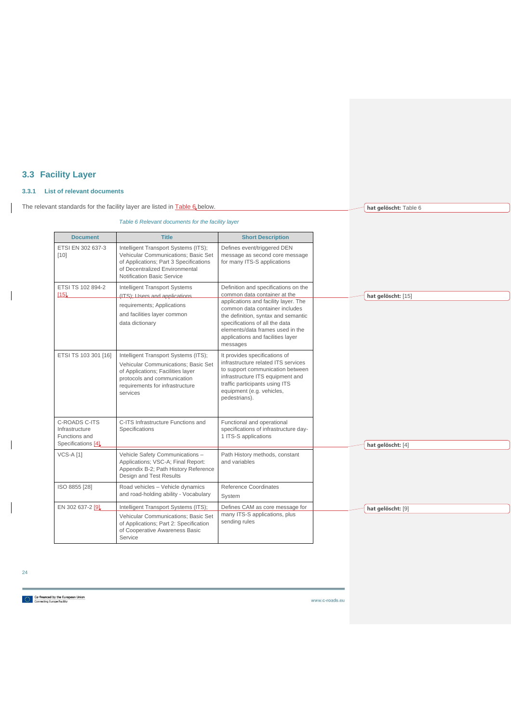## <span id="page-24-0"></span>**3.3 Facility Layer**

## <span id="page-24-1"></span>**3.3.1 List of relevant documents**

<span id="page-24-2"></span>The relevant standards for the facility layer are listed in **Table 6** below.

*Table 6 Relevant documents for the facility layer*

| <b>Document</b>                                                        | <b>Title</b>                                                                                                                                                                                   | <b>Short Description</b>                                                                                                                                                                                                                                                                                     |
|------------------------------------------------------------------------|------------------------------------------------------------------------------------------------------------------------------------------------------------------------------------------------|--------------------------------------------------------------------------------------------------------------------------------------------------------------------------------------------------------------------------------------------------------------------------------------------------------------|
| ETSI EN 302 637-3<br>$[10]$                                            | Intelligent Transport Systems (ITS);<br>Vehicular Communications: Basic Set<br>of Applications; Part 3 Specifications<br>of Decentralized Environmental<br>Notification Basic Service          | Defines event/triggered DEN<br>message as second core message<br>for many ITS-S applications                                                                                                                                                                                                                 |
| ETSI TS 102 894-2<br>[15]                                              | <b>Intelligent Transport Systems</b><br>(ITS); Users and applications<br>requirements; Applications<br>and facilities layer common<br>data dictionary                                          | Definition and specifications on the<br>common data container at the<br>applications and facility layer. The<br>common data container includes<br>the definition, syntax and semantic<br>specifications of all the data<br>elements/data frames used in the<br>applications and facilities layer<br>messages |
| ETSI TS 103 301 [16]                                                   | Intelligent Transport Systems (ITS);<br>Vehicular Communications; Basic Set<br>of Applications; Facilities layer<br>protocols and communication<br>requirements for infrastructure<br>services | It provides specifications of<br>infrastructure related ITS services<br>to support communication between<br>infrastructure ITS equipment and<br>traffic participants using ITS<br>equipment (e.g. vehicles,<br>pedestrians).                                                                                 |
| C-ROADS C-ITS<br>Infrastructure<br>Functions and<br>Specifications [4] | C-ITS Infrastructure Functions and<br>Specifications                                                                                                                                           | Functional and operational<br>specifications of infrastructure day-<br>1 ITS-S applications                                                                                                                                                                                                                  |
| <b>VCS-A [1]</b>                                                       | Vehicle Safety Communications -<br>Applications; VSC-A; Final Report:<br>Appendix B-2; Path History Reference<br>Design and Test Results                                                       | Path History methods, constant<br>and variables                                                                                                                                                                                                                                                              |
| ISO 8855 [28]                                                          | Road vehicles - Vehicle dynamics<br>and road-holding ability - Vocabulary                                                                                                                      | Reference Coordinates<br>System                                                                                                                                                                                                                                                                              |
| EN 302 637-2 [9]                                                       | Intelligent Transport Systems (ITS);                                                                                                                                                           | Defines CAM as core message for                                                                                                                                                                                                                                                                              |
|                                                                        | Vehicular Communications; Basic Set<br>of Applications; Part 2: Specification<br>of Cooperative Awareness Basic<br>Service                                                                     | many ITS-S applications, plus<br>sending rules                                                                                                                                                                                                                                                               |

24

 $\overline{\phantom{a}}$ 

 $\begin{array}{c} \hline \end{array}$ 

 $\overline{\phantom{a}}$ 

Co-financed by the European Union<br>  $\frac{1}{2}$ <br>
Connecting Europe Facility

www.c-roads.eu

**[hat gelöscht:](#page-24-2)** Table 6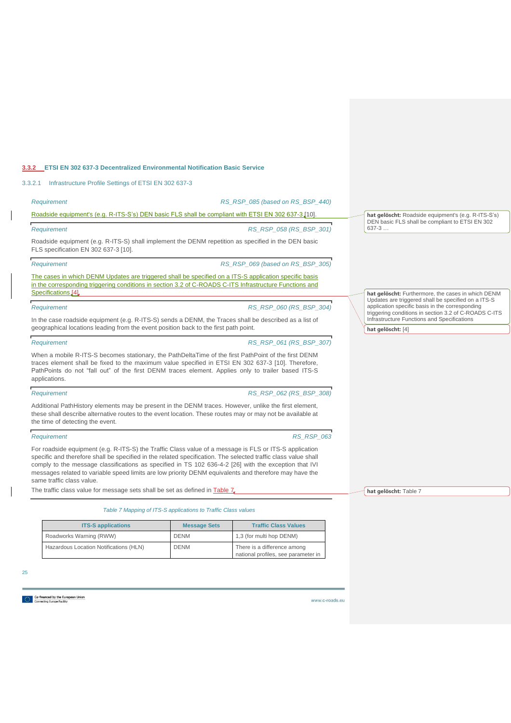### <span id="page-25-0"></span>**3.3.2 ETSI EN 302 637-3 Decentralized Environmental Notification Basic Service**

<span id="page-25-1"></span>3.3.2.1 Infrastructure Profile Settings of ETSI EN 302 637-3

### *Requirement RS\_RSP\_085 (based on RS\_BSP\_440)* Roadside equipment's (e.g. R-ITS-S's) DEN basic FLS shall be compliant with ETSI EN 302 637-3 [\[10\].](#page-31-9) *Requirement RS\_RSP\_058 (RS\_BSP\_301)* Roadside equipment (e.g. R-ITS-S) shall implement the DENM repetition as specified in the DEN basic FLS specification EN 302 637-3 [\[10\].](#page-31-9) *Requirement RS\_RSP\_069 (based on RS\_BSP\_305)* The cases in which DENM Updates are triggered shall be specified on a ITS-S application specific basis in the corresponding triggering conditions in section 3.2 of C-ROADS C-ITS Infrastructure Functions and Specifications [\[4\].](#page-31-2) *Requirement RS\_RSP\_060 (RS\_BSP\_304)* **hat gelöscht:** Roadside equipment's (e.g. R-ITS-S's) DEN basic FLS shall be compliant to ETSI EN 302 637-3 … **hat gelöscht:** Furthermore, the cases in which DENM Updates are triggered shall be specified on a ITS-S application specific basis in the corresponding triggering conditions in section 3.2 of C-ROADS C-ITS

In the case roadside equipment (e.g. R-ITS-S) sends a DENM, the Traces shall be described as a list of geographical locations leading from the event position back to the first path point.

#### *Requirement RS\_RSP\_061 (RS\_BSP\_307)*

When a mobile R-ITS-S becomes stationary, the PathDeltaTime of the first PathPoint of the first DENM traces element shall be fixed to the maximum value specified in ETSI EN 302 637-3 [\[10\].](#page-31-9) Therefore, PathPoints do not "fall out" of the first DENM traces element. Applies only to trailer based ITS-S applications.

#### *Requirement RS\_RSP\_062 (RS\_BSP\_308)*

Additional PathHistory elements may be present in the DENM traces. However, unlike the first element, these shall describe alternative routes to the event location. These routes may or may not be available at the time of detecting the event.

#### *Requirement RS\_RSP\_063*

For roadside equipment (e.g. R-ITS-S) the Traffic Class value of a message is FLS or ITS-S application specific and therefore shall be specified in the related specification. The selected traffic class value shall comply to the message classifications as specified in TS 102 636-4-2 [\[26\]](#page-32-6) with the exception that IVI messages related to variable speed limits are low priority DENM equivalents and therefore may have the same traffic class value.

<span id="page-25-2"></span>The traffic class value for message sets shall be set as defined in [Table 7.](#page-25-2)

*Table 7 Mapping of ITS-S applications to Traffic Class values*

| <b>ITS-S applications</b>              | <b>Message Sets</b> | <b>Traffic Class Values</b>                                        |
|----------------------------------------|---------------------|--------------------------------------------------------------------|
| Roadworks Warning (RWW)                | <b>DENM</b>         | 1,3 (for multi hop DENM)                                           |
| Hazardous Location Notifications (HLN) | <b>DENM</b>         | There is a difference among<br>national profiles, see parameter in |

25

o-financed by the European Union<br>onnecting Europe Facility

**[hat gelöscht:](#page-25-2)** Table 7

Infrastructure Functions and Specifications

**[hat gelöscht:](#page-31-2)** [4]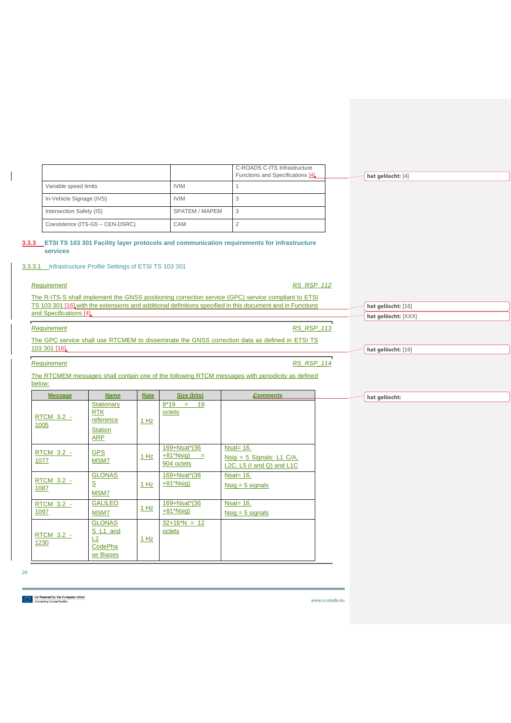|                                                                        |                                                                       |      |                                            | C-ROADS C-ITS Infrastructure                                                                                                                                                                                      |                     |
|------------------------------------------------------------------------|-----------------------------------------------------------------------|------|--------------------------------------------|-------------------------------------------------------------------------------------------------------------------------------------------------------------------------------------------------------------------|---------------------|
|                                                                        |                                                                       |      |                                            | Functions and Specifications [4]                                                                                                                                                                                  | hat gelöscht: [4]   |
| Variable speed limits                                                  |                                                                       |      | <b>IVIM</b>                                | $\mathbf{1}$                                                                                                                                                                                                      |                     |
| In-Vehicle Signage (IVS)                                               |                                                                       |      | <b>IVIM</b>                                | 3                                                                                                                                                                                                                 |                     |
| Intersection Safety (IS)                                               |                                                                       |      | SPATEM / MAPEM                             | 3                                                                                                                                                                                                                 |                     |
|                                                                        | Coexistence (ITS-G5 - CEN-DSRC)                                       |      | CAM                                        | $\sqrt{2}$                                                                                                                                                                                                        |                     |
| services<br>3.3.3.1 Infrastructure Profile Settings of ETSI TS 103 301 |                                                                       |      |                                            | 3.3.3 ETSI TS 103 301 Facility layer protocols and communication requirements for infrastructure                                                                                                                  |                     |
| Requirement                                                            |                                                                       |      |                                            | <b>RS_RSP_112</b>                                                                                                                                                                                                 |                     |
|                                                                        |                                                                       |      |                                            | The R-ITS-S shall implement the GNSS positioning correction service (GPC) service compliant to ETSI<br>TS 103 301 [16] with the extensions and additional definitions specified in this document and in Functions | hat gelöscht: [16]  |
| and Specifications [4].                                                |                                                                       |      |                                            |                                                                                                                                                                                                                   | hat gelöscht: [XXX] |
| Requirement                                                            |                                                                       |      |                                            | <b>RS_RSP_113</b>                                                                                                                                                                                                 |                     |
|                                                                        |                                                                       |      |                                            | The GPC service shall use RTCMEM to disseminate the GNSS correction data as defined in ETSI TS                                                                                                                    |                     |
| 103 301 [16]                                                           |                                                                       |      |                                            |                                                                                                                                                                                                                   | hat gelöscht: [16]  |
| Requirement                                                            |                                                                       |      |                                            | <b>RS_RSP_114</b>                                                                                                                                                                                                 |                     |
| below:                                                                 |                                                                       |      |                                            | The RTCMEM messages shall contain one of the following RTCM messages with periodicity as defined                                                                                                                  |                     |
| <b>Message</b>                                                         | <b>Name</b>                                                           | Rate | Size (bits)                                | Comments                                                                                                                                                                                                          | hat gelöscht:       |
| RTCM 3.2 -<br>1005                                                     | Stationary<br><b>RTK</b><br>reference<br><b>Station</b><br><b>ARP</b> | 1 Hz | $8*19 = 19$<br>octets                      |                                                                                                                                                                                                                   |                     |
| RTCM 3.2 -<br>1077                                                     | <b>GPS</b><br>MSM7                                                    | 1 Hz | 169+Nsat*(36<br>$+81*Nsig$ =<br>904 octets | $Nsat = 16$ .<br>Nsig = $5$ Signals: L1 C/A,<br>L2C, L5 (I and Q) and L1C                                                                                                                                         |                     |
| RTCM 3.2 -<br>1087                                                     | <b>GLONAS</b><br>S<br><b>MSM7</b>                                     | 1 Hz | 169+Nsat*(36<br>$+81$ <sup>*</sup> Nsig)   | Nsat= $16$ .<br>$Nsig = 5$ signals                                                                                                                                                                                |                     |
| <b>RTCM 3.2 -</b><br>1097                                              | <b>GALILEO</b><br>MSM7                                                | 1 Hz | 169+Nsat*(36<br>$+81$ *Nsig)               | <b>Nsat= 16.</b><br>$Nsig = 5$ signals                                                                                                                                                                            |                     |
| RTCM 3.2 -<br>1230                                                     | <b>GLONAS</b><br>S L1 and<br>L2<br>CodePha<br>se Biases               | 1 Hz | $32+16^*N = 12$<br>octets                  |                                                                                                                                                                                                                   |                     |

26

<span id="page-26-1"></span><span id="page-26-0"></span> $\overline{\phantom{a}}$ 

Co-financed by the European Union<br> $\left|\frac{\partial \phi_{ij}}{\partial \phi_{ij}}\right|$  Connecting Europe Facility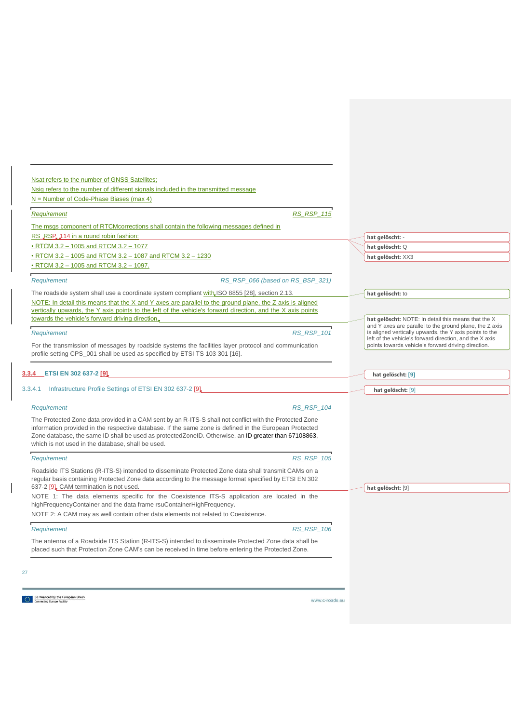|                                                                                                | Nsig refers to the number of different signals included in the transmitted message                                                                                                                              |                                                                                                                        |
|------------------------------------------------------------------------------------------------|-----------------------------------------------------------------------------------------------------------------------------------------------------------------------------------------------------------------|------------------------------------------------------------------------------------------------------------------------|
| N = Number of Code-Phase Biases (max 4)                                                        |                                                                                                                                                                                                                 |                                                                                                                        |
| Requirement                                                                                    | <b>RS RSP 115</b>                                                                                                                                                                                               |                                                                                                                        |
| The msgs component of RTCMcorrections shall contain the following messages defined in          |                                                                                                                                                                                                                 |                                                                                                                        |
| RS RSP. 114 in a round robin fashion:                                                          |                                                                                                                                                                                                                 | hat gelöscht: -                                                                                                        |
| • RTCM 3.2 - 1005 and RTCM 3.2 - 1077                                                          |                                                                                                                                                                                                                 | hat gelöscht: Q                                                                                                        |
| • RTCM 3.2 - 1005 and RTCM 3.2 - 1087 and RTCM 3.2 - 1230                                      |                                                                                                                                                                                                                 | hat gelöscht: XX3                                                                                                      |
| • RTCM 3.2 - 1005 and RTCM 3.2 - 1097.                                                         |                                                                                                                                                                                                                 |                                                                                                                        |
| Requirement                                                                                    | RS RSP 066 (based on RS BSP 321)                                                                                                                                                                                |                                                                                                                        |
| The roadside system shall use a coordinate system compliant with, ISO 8855 [28], section 2.13. |                                                                                                                                                                                                                 | hat gelöscht: to                                                                                                       |
|                                                                                                | NOTE: In detail this means that the X and Y axes are parallel to the ground plane, the Z axis is aligned                                                                                                        |                                                                                                                        |
|                                                                                                | vertically upwards, the Y axis points to the left of the vehicle's forward direction, and the X axis points                                                                                                     |                                                                                                                        |
| towards the vehicle's forward driving direction.                                               |                                                                                                                                                                                                                 | hat gelöscht: NOTE: In detail this means that the X<br>and $\bar{Y}$ axes are parallel to the ground plane, the Z axis |
| Requirement                                                                                    | <b>RS RSP 101</b>                                                                                                                                                                                               | is aligned vertically upwards, the Y axis points to the                                                                |
|                                                                                                | For the transmission of messages by roadside systems the facilities layer protocol and communication                                                                                                            | left of the vehicle's forward direction, and the X axis<br>points towards vehicle's forward driving direction.         |
| profile setting CPS_001 shall be used as specified by ETSI TS 103 301 [16].                    |                                                                                                                                                                                                                 |                                                                                                                        |
|                                                                                                |                                                                                                                                                                                                                 |                                                                                                                        |
|                                                                                                |                                                                                                                                                                                                                 |                                                                                                                        |
| 3.3.4 ETSI EN 302 637-2 [9]                                                                    |                                                                                                                                                                                                                 |                                                                                                                        |
|                                                                                                |                                                                                                                                                                                                                 | hat gelöscht: [9]                                                                                                      |
| 3.3.4.1 Infrastructure Profile Settings of ETSI EN 302 637-2 [9]                               |                                                                                                                                                                                                                 | hat gelöscht: [9]                                                                                                      |
| Requirement                                                                                    | <b>RS RSP 104</b>                                                                                                                                                                                               |                                                                                                                        |
|                                                                                                |                                                                                                                                                                                                                 |                                                                                                                        |
|                                                                                                | The Protected Zone data provided in a CAM sent by an R-ITS-S shall not conflict with the Protected Zone                                                                                                         |                                                                                                                        |
|                                                                                                | information provided in the respective database. If the same zone is defined in the European Protected<br>Zone database, the same ID shall be used as protected ZoneID. Otherwise, an ID greater than 67108863, |                                                                                                                        |
| which is not used in the database, shall be used.                                              |                                                                                                                                                                                                                 |                                                                                                                        |
| Requirement                                                                                    | <b>RS RSP 105</b>                                                                                                                                                                                               |                                                                                                                        |
|                                                                                                |                                                                                                                                                                                                                 |                                                                                                                        |
|                                                                                                | Roadside ITS Stations (R-ITS-S) intended to disseminate Protected Zone data shall transmit CAMs on a<br>regular basis containing Protected Zone data according to the message format specified by ETSI EN 302   |                                                                                                                        |
| 637-2 [9]. CAM termination is not used.                                                        |                                                                                                                                                                                                                 | hat gelöscht: [9]                                                                                                      |
|                                                                                                | NOTE 1: The data elements specific for the Coexistence ITS-S application are located in the                                                                                                                     |                                                                                                                        |
| highFrequencyContainer and the data frame rsuContainerHighFrequency.                           |                                                                                                                                                                                                                 |                                                                                                                        |
| NOTE 2: A CAM may as well contain other data elements not related to Coexistence.              |                                                                                                                                                                                                                 |                                                                                                                        |
| Requirement                                                                                    | <b>RS_RSP_106</b>                                                                                                                                                                                               |                                                                                                                        |
|                                                                                                | The antenna of a Roadside ITS Station (R-ITS-S) intended to disseminate Protected Zone data shall be                                                                                                            |                                                                                                                        |

<span id="page-27-1"></span><span id="page-27-0"></span> $\begin{array}{c} \hline \end{array}$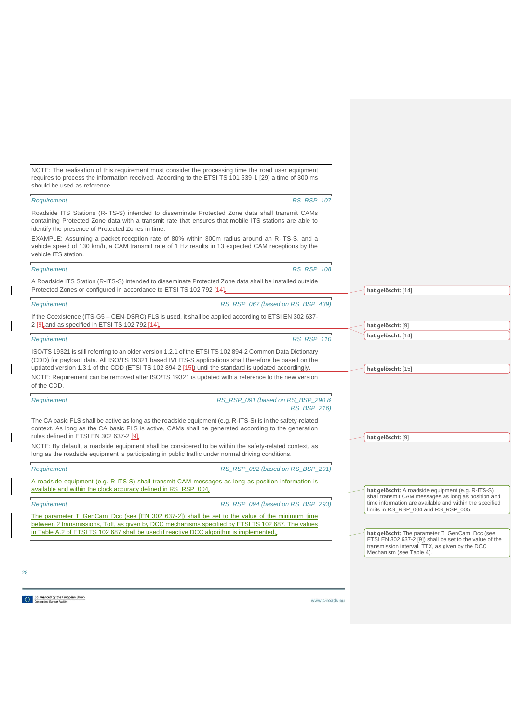|                                                                                                                                                        | <b>RS RSP 107</b>                                                                                                                                                                                                                                                                                                          | Requirement                                                                                        |
|--------------------------------------------------------------------------------------------------------------------------------------------------------|----------------------------------------------------------------------------------------------------------------------------------------------------------------------------------------------------------------------------------------------------------------------------------------------------------------------------|----------------------------------------------------------------------------------------------------|
|                                                                                                                                                        | Roadside ITS Stations (R-ITS-S) intended to disseminate Protected Zone data shall transmit CAMs<br>containing Protected Zone data with a transmit rate that ensures that mobile ITS stations are able to                                                                                                                   | identify the presence of Protected Zones in time.                                                  |
|                                                                                                                                                        | EXAMPLE: Assuming a packet reception rate of 80% within 300m radius around an R-ITS-S, and a<br>vehicle speed of 130 km/h, a CAM transmit rate of 1 Hz results in 13 expected CAM receptions by the                                                                                                                        | vehicle ITS station.                                                                               |
|                                                                                                                                                        | <b>RS RSP 108</b>                                                                                                                                                                                                                                                                                                          | Requirement                                                                                        |
| hat gelöscht: [14]                                                                                                                                     | A Roadside ITS Station (R-ITS-S) intended to disseminate Protected Zone data shall be installed outside                                                                                                                                                                                                                    | Protected Zones or configured in accordance to ETSI TS 102 792 [14].                               |
|                                                                                                                                                        | RS RSP 067 (based on RS BSP 439)                                                                                                                                                                                                                                                                                           | Requirement                                                                                        |
| hat gelöscht: [9]                                                                                                                                      | If the Coexistence (ITS-G5 – CEN-DSRC) FLS is used, it shall be applied according to ETSI EN 302 637-                                                                                                                                                                                                                      | 2 [9] and as specified in ETSI TS 102 792 [14]                                                     |
| hat gelöscht: [14]                                                                                                                                     | <b>RS RSP 110</b>                                                                                                                                                                                                                                                                                                          | Requirement                                                                                        |
| hat gelöscht: [15]                                                                                                                                     | ISO/TS 19321 is still referring to an older version 1.2.1 of the ETSI TS 102 894-2 Common Data Dictionary<br>(CDD) for payload data. All ISO/TS 19321 based IVI ITS-S applications shall therefore be based on the<br>updated version 1.3.1 of the CDD (ETSI TS 102 894-2 [15]) until the standard is updated accordingly. |                                                                                                    |
|                                                                                                                                                        | NOTE: Requirement can be removed after ISO/TS 19321 is updated with a reference to the new version                                                                                                                                                                                                                         | of the CDD.                                                                                        |
|                                                                                                                                                        | RS_RSP_091 (based on RS_BSP_290 &<br>RS_BSP_216)                                                                                                                                                                                                                                                                           | Requirement                                                                                        |
| hat gelöscht: [9]                                                                                                                                      | The CA basic FLS shall be active as long as the roadside equipment (e.g. R-ITS-S) is in the safety-related<br>context. As long as the CA basic FLS is active, CAMs shall be generated according to the generation                                                                                                          | rules defined in ETSI EN 302 637-2 [9].                                                            |
|                                                                                                                                                        | NOTE: By default, a roadside equipment shall be considered to be within the safety-related context, as                                                                                                                                                                                                                     | long as the roadside equipment is participating in public traffic under normal driving conditions. |
|                                                                                                                                                        | RS RSP 092 (based on RS BSP 291)                                                                                                                                                                                                                                                                                           | Requirement                                                                                        |
| hat gelöscht: A roadside equipment (e.g. R-ITS-S)                                                                                                      | A roadside equipment (e.g. R-ITS-S) shall transmit CAM messages as long as position information is                                                                                                                                                                                                                         | available and within the clock accuracy defined in RS_RSP_004.                                     |
| shall transmit CAM messages as long as position and<br>time information are available and within the specified<br>limits in RS_RSP_004 and RS_RSP_005. | RS RSP 094 (based on RS BSP 293)                                                                                                                                                                                                                                                                                           | Requirement                                                                                        |
|                                                                                                                                                        | The parameter T_GenCam_Dcc (see [EN 302 637-2]) shall be set to the value of the minimum time<br>between 2 transmissions, Toff, as given by DCC mechanisms specified by ETSI TS 102 687. The values                                                                                                                        |                                                                                                    |
| hat gelöscht: The parameter T_GenCam_Dcc (see                                                                                                          |                                                                                                                                                                                                                                                                                                                            | in Table A.2 of ETSI TS 102 687 shall be used if reactive DCC algorithm is implemented             |

NOTE: The realisation of this requirement must consider the processing time the road user equipment requires to process the information received. According to the ETSI TS 101 539-1 [\[29\]](#page-32-7) a time of 300 ms

Co-financed by the European Union<br>State Connecting Europe Facility

should be used as reference.

 $\overline{\phantom{a}}$ 

 $\overline{\phantom{a}}$ 

 $\overline{\phantom{a}}$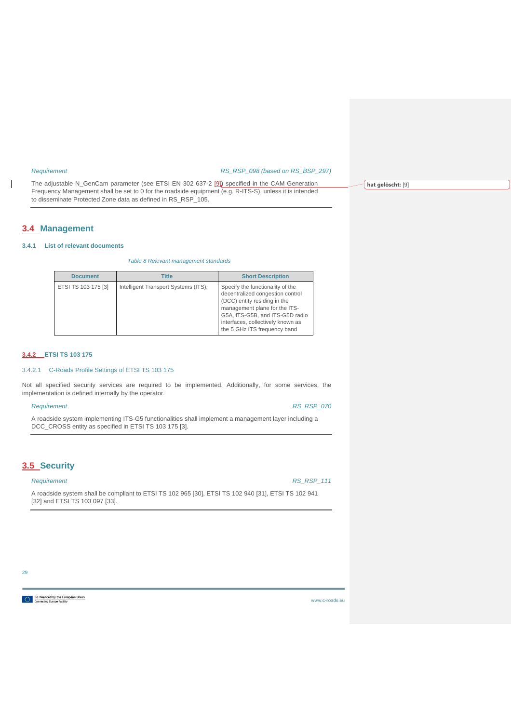$\overline{\phantom{a}}$ 

### *Requirement RS\_RSP\_098 (based on RS\_BSP\_297)*

The adjustable N\_GenCam parameter (see ETSI EN 302 637-2 [\[9\]\)](#page-31-5) specified in the CAM Generation Frequency Management shall be set to 0 for the roadside equipment (e.g. R-ITS-S), unless it is intended to disseminate Protected Zone data as defined in RS\_RSP\_105.

## <span id="page-29-0"></span>**3.4 Management**

#### <span id="page-29-5"></span><span id="page-29-1"></span>**3.4.1 List of relevant documents**

### *Table 8 Relevant management standards*

| <b>Document</b>     | <b>Title</b>                         | <b>Short Description</b>                                                                                                                                                                                                                      |
|---------------------|--------------------------------------|-----------------------------------------------------------------------------------------------------------------------------------------------------------------------------------------------------------------------------------------------|
| ETSI TS 103 175 [3] | Intelligent Transport Systems (ITS); | Specify the functionality of the<br>decentralized congestion control<br>(DCC) entity residing in the<br>management plane for the ITS-<br>G5A, ITS-G5B, and ITS-G5D radio<br>interfaces, collectively known as<br>the 5 GHz ITS frequency band |

### <span id="page-29-2"></span>**3.4.2 ETSI TS 103 175**

### <span id="page-29-3"></span>3.4.2.1 C-Roads Profile Settings of ETSI TS 103 175

Not all specified security services are required to be implemented. Additionally, for some services, the implementation is defined internally by the operator.

*Requirement RS\_RSP\_070*

A roadside system implementing ITS-G5 functionalities shall implement a management layer including a DCC\_CROSS entity as specified in ETSI TS 103 175 [\[3\].](#page-31-11)

## <span id="page-29-4"></span>**3.5 Security**

### *Requirement RS\_RSP\_111*

A roadside system shall be compliant to ETSI TS 102 965 [\[30\],](#page-30-8) ETSI TS 102 940 [\[31\],](#page-30-9) ETSI TS 102 941 [\[32\]](#page-30-10) and ETSI TS 103 097 [\[33\].](#page-30-11)

www.c-roads.eu

**[hat gelöscht:](#page-31-5)** [9]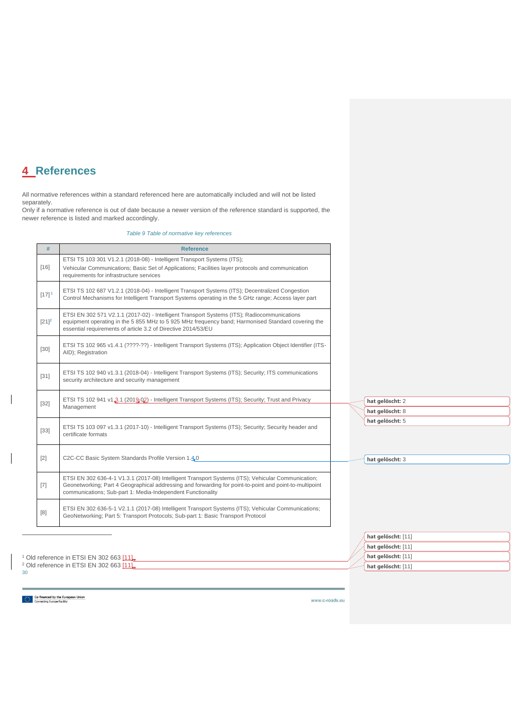# <span id="page-30-0"></span>**4 References**

All normative references within a standard referenced here are automatically included and will not be listed separately.

<span id="page-30-1"></span>Only if a normative reference is out of date because a newer version of the reference standard is supported, the newer reference is listed and marked accordingly.

### *Table 9 Table of normative key references*

<span id="page-30-7"></span><span id="page-30-4"></span><span id="page-30-3"></span>

| #                   | <b>Reference</b>                                                                                                                                                                                                                                                             |
|---------------------|------------------------------------------------------------------------------------------------------------------------------------------------------------------------------------------------------------------------------------------------------------------------------|
|                     | ETSI TS 103 301 V1.2.1 (2018-08) - Intelligent Transport Systems (ITS);                                                                                                                                                                                                      |
| $[16]$              | Vehicular Communications; Basic Set of Applications; Facilities layer protocols and communication<br>requirements for infrastructure services                                                                                                                                |
| $[17]$ <sup>1</sup> | ETSI TS 102 687 V1.2.1 (2018-04) - Intelligent Transport Systems (ITS); Decentralized Congestion<br>Control Mechanisms for Intelligent Transport Systems operating in the 5 GHz range; Access layer part                                                                     |
| $[21]^{2}$          | ETSI EN 302 571 V2.1.1 (2017-02) - Intelligent Transport Systems (ITS); Radiocommunications<br>equipment operating in the 5 855 MHz to 5 925 MHz frequency band; Harmonised Standard covering the<br>essential requirements of article 3.2 of Directive 2014/53/EU           |
| $[30]$              | ETSI TS 102 965 v1.4.1 (????-??) - Intelligent Transport Systems (ITS); Application Object Identifier (ITS-<br>AID); Registration                                                                                                                                            |
| $[31]$              | ETSI TS 102 940 v1.3.1 (2018-04) - Intelligent Transport Systems (ITS); Security; ITS communications<br>security architecture and security management                                                                                                                        |
| $[32]$              | ETSI TS 102 941 v1.3.1 (2019-02) - Intelligent Transport Systems (ITS); Security; Trust and Privacy<br>Management                                                                                                                                                            |
| $[33]$              | ETSI TS 103 097 v1.3.1 (2017-10) - Intelligent Transport Systems (ITS); Security; Security header and<br>certificate formats                                                                                                                                                 |
| $[2]$               | C2C-CC Basic System Standards Profile Version 1.40                                                                                                                                                                                                                           |
| $[7]$               | ETSI EN 302 636-4-1 V1.3.1 (2017-08) Intelligent Transport Systems (ITS); Vehicular Communication;<br>Geonetworking; Part 4 Geographical addressing and forwarding for point-to-point and point-to-multipoint<br>communications; Sub-part 1: Media-Independent Functionality |
| [8]                 | ETSI EN 302 636-5-1 V2.1.1 (2017-08) Intelligent Transport Systems (ITS); Vehicular Communications;<br>GeoNetworking; Part 5: Transport Protocols; Sub-part 1: Basic Transport Protocol                                                                                      |
|                     |                                                                                                                                                                                                                                                                              |

<span id="page-30-6"></span>

|                                                    |  | hat gelöscht: [11] |
|----------------------------------------------------|--|--------------------|
| <sup>1</sup> Old reference in ETSI EN 302 663 [11] |  | hat gelöscht: [11] |
| <sup>2</sup> Old reference in ETSI EN 302 663 [11] |  | hat gelöscht: [11] |
| 30                                                 |  |                    |

Co-financed by the European Union

<span id="page-30-10"></span><span id="page-30-9"></span><span id="page-30-8"></span> $\overline{\phantom{a}}$ 

<span id="page-30-11"></span><span id="page-30-5"></span><span id="page-30-2"></span> $\overline{\phantom{a}}$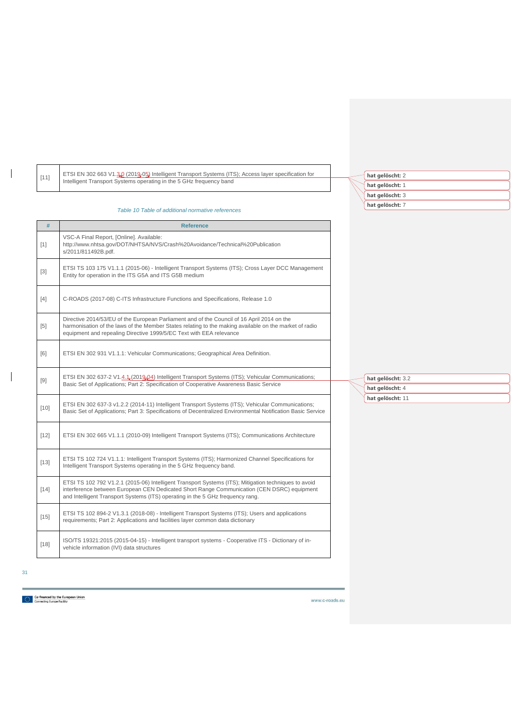<span id="page-31-11"></span><span id="page-31-10"></span><span id="page-31-3"></span><span id="page-31-0"></span>

| $[11]$ | ETSI EN 302 663 V1.3.0 (2019-05) Intelligent Transport Systems (ITS); Access layer specification for                                                                                                                                                                                 | hat gelöscht: 2   |  |
|--------|--------------------------------------------------------------------------------------------------------------------------------------------------------------------------------------------------------------------------------------------------------------------------------------|-------------------|--|
|        | Intelligent Transport Systems operating in the 5 GHz frequency band                                                                                                                                                                                                                  | hat gelöscht: 1   |  |
|        |                                                                                                                                                                                                                                                                                      | hat gelöscht: 3   |  |
|        | Table 10 Table of additional normative references                                                                                                                                                                                                                                    | hat gelöscht: 7   |  |
|        |                                                                                                                                                                                                                                                                                      |                   |  |
| $\#$   | <b>Reference</b>                                                                                                                                                                                                                                                                     |                   |  |
| $[1]$  | VSC-A Final Report, [Online]. Available:<br>http://www.nhtsa.gov/DOT/NHTSA/NVS/Crash%20Avoidance/Technical%20Publication<br>s/2011/811492B.pdf.                                                                                                                                      |                   |  |
| $[3]$  | ETSI TS 103 175 V1.1.1 (2015-06) - Intelligent Transport Systems (ITS); Cross Layer DCC Management<br>Entity for operation in the ITS G5A and ITS G5B medium                                                                                                                         |                   |  |
| $[4]$  | C-ROADS (2017-08) C-ITS Infrastructure Functions and Specifications, Release 1.0                                                                                                                                                                                                     |                   |  |
| $[5]$  | Directive 2014/53/EU of the European Parliament and of the Council of 16 April 2014 on the<br>harmonisation of the laws of the Member States relating to the making available on the market of radio<br>equipment and repealing Directive 1999/5/EC Text with EEA relevance          |                   |  |
| [6]    | ETSI EN 302 931 V1.1.1: Vehicular Communications; Geographical Area Definition.                                                                                                                                                                                                      |                   |  |
| $[9]$  | ETSI EN 302 637-2 V1.4.1 (2019-04) Intelligent Transport Systems (ITS); Vehicular Communications;<br>Basic Set of Applications; Part 2: Specification of Cooperative Awareness Basic Service                                                                                         | hat gelöscht: 3.2 |  |
|        |                                                                                                                                                                                                                                                                                      | hat gelöscht: 4   |  |
| $[10]$ | ETSI EN 302 637-3 v1.2.2 (2014-11) Intelligent Transport Systems (ITS); Vehicular Communications;<br>Basic Set of Applications; Part 3: Specifications of Decentralized Environmental Notification Basic Service                                                                     | hat gelöscht: 11  |  |
| $[12]$ | ETSI EN 302 665 V1.1.1 (2010-09) Intelligent Transport Systems (ITS); Communications Architecture                                                                                                                                                                                    |                   |  |
| $[13]$ | ETSI TS 102 724 V1.1.1: Intelligent Transport Systems (ITS); Harmonized Channel Specifications for<br>Intelligent Transport Systems operating in the 5 GHz frequency band.                                                                                                           |                   |  |
| $[14]$ | ETSI TS 102 792 V1.2.1 (2015-06) Intelligent Transport Systems (ITS); Mitigation techniques to avoid<br>interference between European CEN Dedicated Short Range Communication (CEN DSRC) equipment<br>and Intelligent Transport Systems (ITS) operating in the 5 GHz frequency rang. |                   |  |
| $[15]$ | ETSI TS 102 894-2 V1.3.1 (2018-08) - Intelligent Transport Systems (ITS); Users and applications<br>requirements; Part 2: Applications and facilities layer common data dictionary                                                                                                   |                   |  |
| $[18]$ | ISO/TS 19321:2015 (2015-04-15) - Intelligent transport systems - Cooperative ITS - Dictionary of in-<br>vehicle information (IVI) data structures                                                                                                                                    |                   |  |

Co-financed by the European Union<br> $\left|\frac{\partial \phi_{ij}}{\partial \phi_{ij}}\right|$  Connecting Europe Facility

<span id="page-31-8"></span><span id="page-31-4"></span>31

 $\mathbf{I}% _{0}\left( \mathbf{I}_{1}\right)$ 

<span id="page-31-9"></span><span id="page-31-7"></span><span id="page-31-6"></span><span id="page-31-5"></span><span id="page-31-2"></span><span id="page-31-1"></span> $\begin{array}{c} \hline \end{array}$ 

www.c-roads.eu

**hat gelöscht:** 2